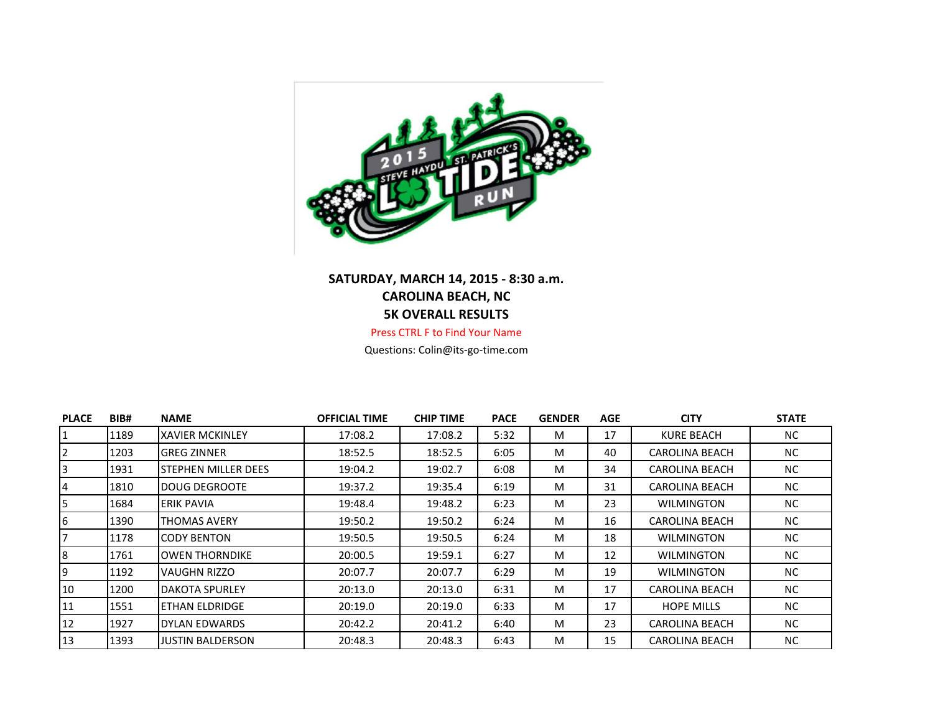

## **SATURDAY, MARCH 14, 2015 - 8:30 a.m. CAROLINA BEACH, NC 5K OVERALL RESULTS**

Press CTRL F to Find Your Name

Questions: Colin@its-go-time.com

| <b>PLACE</b>   | BIB# | <b>NAME</b>            | <b>OFFICIAL TIME</b> | <b>CHIP TIME</b> | <b>PACE</b> | <b>GENDER</b> | AGE | <b>CITY</b>           | <b>STATE</b> |
|----------------|------|------------------------|----------------------|------------------|-------------|---------------|-----|-----------------------|--------------|
| 1              | 1189 | <b>XAVIER MCKINLEY</b> | 17:08.2              | 17:08.2          | 5:32        | M             | 17  | <b>KURE BEACH</b>     | NC.          |
| 2              | 1203 | <b>GREG ZINNER</b>     | 18:52.5              | 18:52.5          | 6:05        | M             | 40  | <b>CAROLINA BEACH</b> | NC.          |
| $\overline{3}$ | 1931 | ISTEPHEN MILLER DEES   | 19:04.2              | 19:02.7          | 6:08        | M             | 34  | CAROLINA BEACH        | NC.          |
| $\overline{4}$ | 1810 | DOUG DEGROOTE          | 19:37.2              | 19:35.4          | 6:19        | M             | 31  | <b>CAROLINA BEACH</b> | NC.          |
| 5              | 1684 | ERIK PAVIA             | 19:48.4              | 19:48.2          | 6:23        | M             | 23  | WILMINGTON            | NC.          |
| 6              | 1390 | <b>THOMAS AVERY</b>    | 19:50.2              | 19:50.2          | 6:24        | M             | 16  | CAROLINA BEACH        | NC.          |
| 17             | 1178 | ICODY BENTON           | 19:50.5              | 19:50.5          | 6:24        | M             | 18  | <b>WILMINGTON</b>     | NC           |
| 8              | 1761 | IOWEN THORNDIKE        | 20:00.5              | 19:59.1          | 6:27        | M             | 12  | <b>WILMINGTON</b>     | NC.          |
| 9              | 1192 | lVAUGHN RIZZO          | 20:07.7              | 20:07.7          | 6:29        | M             | 19  | <b>WILMINGTON</b>     | NC.          |
| 10             | 1200 | <b>IDAKOTA SPURLEY</b> | 20:13.0              | 20:13.0          | 6:31        | M             | 17  | <b>CAROLINA BEACH</b> | NC.          |
| 11             | 1551 | <b>ETHAN ELDRIDGE</b>  | 20:19.0              | 20:19.0          | 6:33        | M             | 17  | <b>HOPE MILLS</b>     | NC.          |
| 12             | 1927 | DYLAN EDWARDS          | 20:42.2              | 20:41.2          | 6:40        | M             | 23  | CAROLINA BEACH        | NC.          |
| 13             | 1393 | JUSTIN BALDERSON       | 20:48.3              | 20:48.3          | 6:43        | M             | 15  | <b>CAROLINA BEACH</b> | NC.          |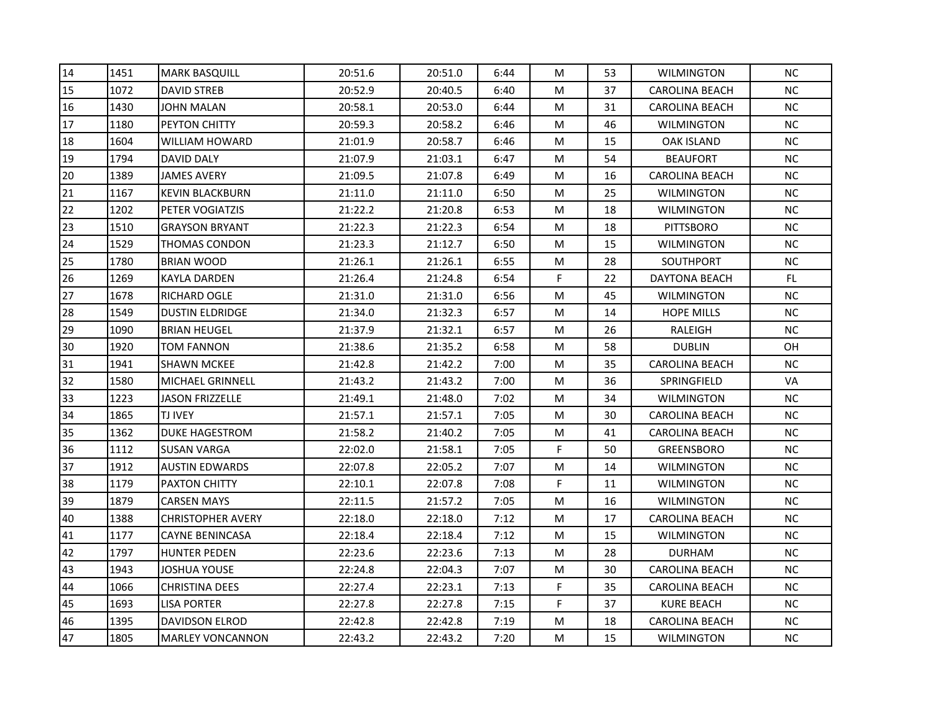| 14 | 1451 | <b>MARK BASQUILL</b>     | 20:51.6 | 20:51.0 | 6:44 | M           | 53 | <b>WILMINGTON</b>     | <b>NC</b> |
|----|------|--------------------------|---------|---------|------|-------------|----|-----------------------|-----------|
| 15 | 1072 | <b>DAVID STREB</b>       | 20:52.9 | 20:40.5 | 6:40 | M           | 37 | <b>CAROLINA BEACH</b> | <b>NC</b> |
| 16 | 1430 | <b>JOHN MALAN</b>        | 20:58.1 | 20:53.0 | 6:44 | M           | 31 | <b>CAROLINA BEACH</b> | NC.       |
| 17 | 1180 | <b>PEYTON CHITTY</b>     | 20:59.3 | 20:58.2 | 6:46 | M           | 46 | <b>WILMINGTON</b>     | $\sf NC$  |
| 18 | 1604 | WILLIAM HOWARD           | 21:01.9 | 20:58.7 | 6:46 | M           | 15 | OAK ISLAND            | <b>NC</b> |
| 19 | 1794 | DAVID DALY               | 21:07.9 | 21:03.1 | 6:47 | M           | 54 | <b>BEAUFORT</b>       | NC.       |
| 20 | 1389 | <b>JAMES AVERY</b>       | 21:09.5 | 21:07.8 | 6:49 | M           | 16 | <b>CAROLINA BEACH</b> | <b>NC</b> |
| 21 | 1167 | <b>KEVIN BLACKBURN</b>   | 21:11.0 | 21:11.0 | 6:50 | M           | 25 | <b>WILMINGTON</b>     | <b>NC</b> |
| 22 | 1202 | PETER VOGIATZIS          | 21:22.2 | 21:20.8 | 6:53 | M           | 18 | <b>WILMINGTON</b>     | NC        |
| 23 | 1510 | <b>GRAYSON BRYANT</b>    | 21:22.3 | 21:22.3 | 6:54 | M           | 18 | <b>PITTSBORO</b>      | NC        |
| 24 | 1529 | THOMAS CONDON            | 21:23.3 | 21:12.7 | 6:50 | M           | 15 | <b>WILMINGTON</b>     | <b>NC</b> |
| 25 | 1780 | <b>BRIAN WOOD</b>        | 21:26.1 | 21:26.1 | 6:55 | M           | 28 | <b>SOUTHPORT</b>      | NC        |
| 26 | 1269 | KAYLA DARDEN             | 21:26.4 | 21:24.8 | 6:54 | F           | 22 | DAYTONA BEACH         | FL.       |
| 27 | 1678 | <b>RICHARD OGLE</b>      | 21:31.0 | 21:31.0 | 6:56 | M           | 45 | <b>WILMINGTON</b>     | <b>NC</b> |
| 28 | 1549 | <b>DUSTIN ELDRIDGE</b>   | 21:34.0 | 21:32.3 | 6:57 | M           | 14 | <b>HOPE MILLS</b>     | <b>NC</b> |
| 29 | 1090 | <b>BRIAN HEUGEL</b>      | 21:37.9 | 21:32.1 | 6:57 | M           | 26 | RALEIGH               | <b>NC</b> |
| 30 | 1920 | TOM FANNON               | 21:38.6 | 21:35.2 | 6:58 | M           | 58 | <b>DUBLIN</b>         | OH        |
| 31 | 1941 | <b>SHAWN MCKEE</b>       | 21:42.8 | 21:42.2 | 7:00 | M           | 35 | <b>CAROLINA BEACH</b> | <b>NC</b> |
| 32 | 1580 | MICHAEL GRINNELL         | 21:43.2 | 21:43.2 | 7:00 | M           | 36 | SPRINGFIELD           | <b>VA</b> |
| 33 | 1223 | <b>JASON FRIZZELLE</b>   | 21:49.1 | 21:48.0 | 7:02 | M           | 34 | <b>WILMINGTON</b>     | NC        |
| 34 | 1865 | <b>TJ IVEY</b>           | 21:57.1 | 21:57.1 | 7:05 | M           | 30 | CAROLINA BEACH        | <b>NC</b> |
| 35 | 1362 | <b>DUKE HAGESTROM</b>    | 21:58.2 | 21:40.2 | 7:05 | M           | 41 | <b>CAROLINA BEACH</b> | <b>NC</b> |
| 36 | 1112 | <b>SUSAN VARGA</b>       | 22:02.0 | 21:58.1 | 7:05 | F           | 50 | <b>GREENSBORO</b>     | <b>NC</b> |
| 37 | 1912 | <b>AUSTIN EDWARDS</b>    | 22:07.8 | 22:05.2 | 7:07 | M           | 14 | <b>WILMINGTON</b>     | <b>NC</b> |
| 38 | 1179 | <b>PAXTON CHITTY</b>     | 22:10.1 | 22:07.8 | 7:08 | F.          | 11 | <b>WILMINGTON</b>     | NC        |
| 39 | 1879 | <b>CARSEN MAYS</b>       | 22:11.5 | 21:57.2 | 7:05 | M           | 16 | <b>WILMINGTON</b>     | <b>NC</b> |
| 40 | 1388 | <b>CHRISTOPHER AVERY</b> | 22:18.0 | 22:18.0 | 7:12 | M           | 17 | CAROLINA BEACH        | NC.       |
| 41 | 1177 | <b>CAYNE BENINCASA</b>   | 22:18.4 | 22:18.4 | 7:12 | M           | 15 | <b>WILMINGTON</b>     | NC.       |
| 42 | 1797 | <b>HUNTER PEDEN</b>      | 22:23.6 | 22:23.6 | 7:13 | M           | 28 | <b>DURHAM</b>         | <b>NC</b> |
| 43 | 1943 | JOSHUA YOUSE             | 22:24.8 | 22:04.3 | 7:07 | M           | 30 | <b>CAROLINA BEACH</b> | <b>NC</b> |
| 44 | 1066 | <b>CHRISTINA DEES</b>    | 22:27.4 | 22:23.1 | 7:13 | $\mathsf F$ | 35 | <b>CAROLINA BEACH</b> | NC        |
| 45 | 1693 | LISA PORTER              | 22:27.8 | 22:27.8 | 7:15 | F           | 37 | <b>KURE BEACH</b>     | NC.       |
| 46 | 1395 | <b>DAVIDSON ELROD</b>    | 22:42.8 | 22:42.8 | 7:19 | M           | 18 | <b>CAROLINA BEACH</b> | NC        |
| 47 | 1805 | <b>MARLEY VONCANNON</b>  | 22:43.2 | 22:43.2 | 7:20 | M           | 15 | <b>WILMINGTON</b>     | NC        |
|    |      |                          |         |         |      |             |    |                       |           |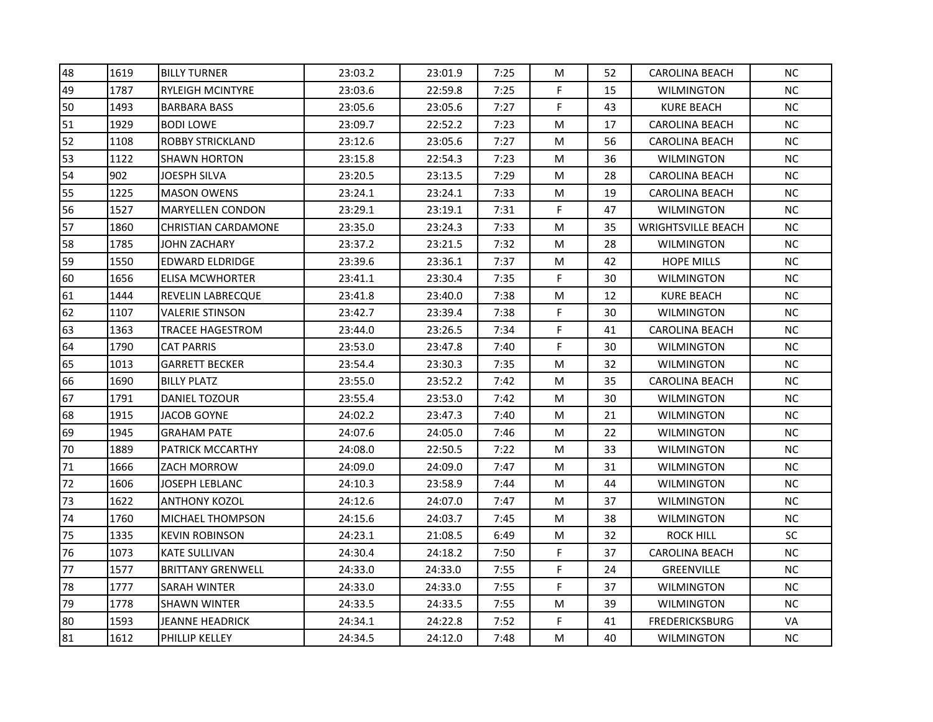| 48 | 1619 | <b>BILLY TURNER</b>        | 23:03.2 | 23:01.9 | 7:25 | M  | 52 | <b>CAROLINA BEACH</b>     | <b>NC</b> |
|----|------|----------------------------|---------|---------|------|----|----|---------------------------|-----------|
| 49 | 1787 | <b>RYLEIGH MCINTYRE</b>    | 23:03.6 | 22:59.8 | 7:25 | F  | 15 | <b>WILMINGTON</b>         | NC        |
| 50 | 1493 | <b>BARBARA BASS</b>        | 23:05.6 | 23:05.6 | 7:27 | F. | 43 | KURE BEACH                | NC.       |
| 51 | 1929 | <b>BODI LOWE</b>           | 23:09.7 | 22:52.2 | 7:23 | M  | 17 | <b>CAROLINA BEACH</b>     | NC        |
| 52 | 1108 | <b>ROBBY STRICKLAND</b>    | 23:12.6 | 23:05.6 | 7:27 | M  | 56 | <b>CAROLINA BEACH</b>     | <b>NC</b> |
| 53 | 1122 | <b>SHAWN HORTON</b>        | 23:15.8 | 22:54.3 | 7:23 | M  | 36 | <b>WILMINGTON</b>         | <b>NC</b> |
| 54 | 902  | JOESPH SILVA               | 23:20.5 | 23:13.5 | 7:29 | M  | 28 | <b>CAROLINA BEACH</b>     | <b>NC</b> |
| 55 | 1225 | <b>MASON OWENS</b>         | 23:24.1 | 23:24.1 | 7:33 | M  | 19 | <b>CAROLINA BEACH</b>     | <b>NC</b> |
| 56 | 1527 | <b>MARYELLEN CONDON</b>    | 23:29.1 | 23:19.1 | 7:31 | F  | 47 | <b>WILMINGTON</b>         | NC        |
| 57 | 1860 | <b>CHRISTIAN CARDAMONE</b> | 23:35.0 | 23:24.3 | 7:33 | M  | 35 | <b>WRIGHTSVILLE BEACH</b> | NC        |
| 58 | 1785 | JOHN ZACHARY               | 23:37.2 | 23:21.5 | 7:32 | M  | 28 | <b>WILMINGTON</b>         | <b>NC</b> |
| 59 | 1550 | EDWARD ELDRIDGE            | 23:39.6 | 23:36.1 | 7:37 | M  | 42 | <b>HOPE MILLS</b>         | NC        |
| 60 | 1656 | <b>ELISA MCWHORTER</b>     | 23:41.1 | 23:30.4 | 7:35 | F  | 30 | <b>WILMINGTON</b>         | <b>NC</b> |
| 61 | 1444 | <b>REVELIN LABRECQUE</b>   | 23:41.8 | 23:40.0 | 7:38 | M  | 12 | KURE BEACH                | <b>NC</b> |
| 62 | 1107 | <b>VALERIE STINSON</b>     | 23:42.7 | 23:39.4 | 7:38 | F  | 30 | <b>WILMINGTON</b>         | <b>NC</b> |
| 63 | 1363 | TRACEE HAGESTROM           | 23:44.0 | 23:26.5 | 7:34 | F  | 41 | <b>CAROLINA BEACH</b>     | <b>NC</b> |
| 64 | 1790 | <b>CAT PARRIS</b>          | 23:53.0 | 23:47.8 | 7:40 | F  | 30 | <b>WILMINGTON</b>         | <b>NC</b> |
| 65 | 1013 | <b>GARRETT BECKER</b>      | 23:54.4 | 23:30.3 | 7:35 | M  | 32 | <b>WILMINGTON</b>         | <b>NC</b> |
| 66 | 1690 | <b>BILLY PLATZ</b>         | 23:55.0 | 23:52.2 | 7:42 | M  | 35 | <b>CAROLINA BEACH</b>     | NC        |
| 67 | 1791 | DANIEL TOZOUR              | 23:55.4 | 23:53.0 | 7:42 | M  | 30 | <b>WILMINGTON</b>         | NC        |
| 68 | 1915 | JACOB GOYNE                | 24:02.2 | 23:47.3 | 7:40 | M  | 21 | WILMINGTON                | <b>NC</b> |
| 69 | 1945 | <b>GRAHAM PATE</b>         | 24:07.6 | 24:05.0 | 7:46 | M  | 22 | <b>WILMINGTON</b>         | <b>NC</b> |
| 70 | 1889 | PATRICK MCCARTHY           | 24:08.0 | 22:50.5 | 7:22 | M  | 33 | <b>WILMINGTON</b>         | <b>NC</b> |
| 71 | 1666 | ZACH MORROW                | 24:09.0 | 24:09.0 | 7:47 | M  | 31 | <b>WILMINGTON</b>         | NC.       |
| 72 | 1606 | JOSEPH LEBLANC             | 24:10.3 | 23:58.9 | 7:44 | M  | 44 | <b>WILMINGTON</b>         | NC        |
| 73 | 1622 | ANTHONY KOZOL              | 24:12.6 | 24:07.0 | 7:47 | M  | 37 | <b>WILMINGTON</b>         | NC        |
| 74 | 1760 | <b>MICHAEL THOMPSON</b>    | 24:15.6 | 24:03.7 | 7:45 | M  | 38 | <b>WILMINGTON</b>         | NC.       |
| 75 | 1335 | <b>KEVIN ROBINSON</b>      | 24:23.1 | 21:08.5 | 6:49 | M  | 32 | <b>ROCK HILL</b>          | SC        |
| 76 | 1073 | <b>KATE SULLIVAN</b>       | 24:30.4 | 24:18.2 | 7:50 | F  | 37 | <b>CAROLINA BEACH</b>     | NC        |
| 77 | 1577 | <b>BRITTANY GRENWELL</b>   | 24:33.0 | 24:33.0 | 7:55 | F  | 24 | <b>GREENVILLE</b>         | NC        |
| 78 | 1777 | <b>SARAH WINTER</b>        | 24:33.0 | 24:33.0 | 7:55 | F  | 37 | <b>WILMINGTON</b>         | NC        |
| 79 | 1778 | <b>SHAWN WINTER</b>        | 24:33.5 | 24:33.5 | 7:55 | M  | 39 | <b>WILMINGTON</b>         | <b>NC</b> |
| 80 | 1593 | <b>JEANNE HEADRICK</b>     | 24:34.1 | 24:22.8 | 7:52 | F  | 41 | <b>FREDERICKSBURG</b>     | VA        |
| 81 | 1612 | PHILLIP KELLEY             | 24:34.5 | 24:12.0 | 7:48 | M  | 40 | <b>WILMINGTON</b>         | NC        |
|    |      |                            |         |         |      |    |    |                           |           |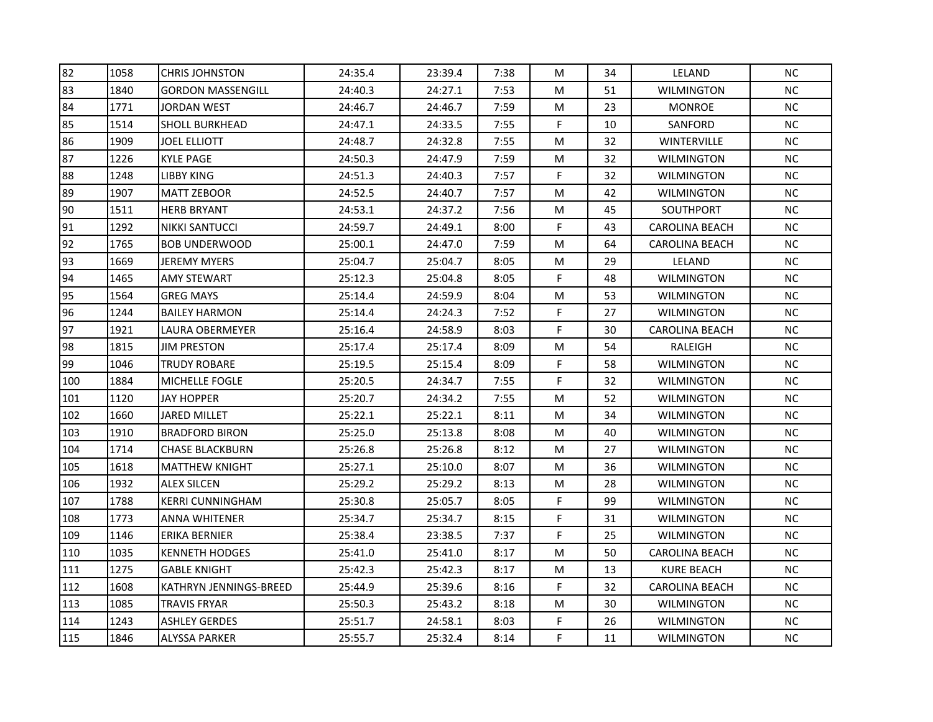| 1058 | <b>CHRIS JOHNSTON</b>    | 24:35.4 | 23:39.4 | 7:38 | M         | 34 | LELAND                | <b>NC</b> |
|------|--------------------------|---------|---------|------|-----------|----|-----------------------|-----------|
| 1840 | <b>GORDON MASSENGILL</b> | 24:40.3 | 24:27.1 | 7:53 | M         | 51 | <b>WILMINGTON</b>     | NC.       |
| 1771 | JORDAN WEST              | 24:46.7 | 24:46.7 | 7:59 | M         | 23 | <b>MONROE</b>         | <b>NC</b> |
| 1514 | <b>SHOLL BURKHEAD</b>    | 24:47.1 | 24:33.5 | 7:55 | F         | 10 | SANFORD               | NC        |
| 1909 | JOEL ELLIOTT             | 24:48.7 | 24:32.8 | 7:55 | M         | 32 | WINTERVILLE           | NC        |
| 1226 | <b>KYLE PAGE</b>         | 24:50.3 | 24:47.9 | 7:59 | M         | 32 | <b>WILMINGTON</b>     | <b>NC</b> |
| 1248 | <b>LIBBY KING</b>        | 24:51.3 | 24:40.3 | 7:57 | F         | 32 | <b>WILMINGTON</b>     | <b>NC</b> |
| 1907 | <b>MATT ZEBOOR</b>       | 24:52.5 | 24:40.7 | 7:57 | M         | 42 | <b>WILMINGTON</b>     | NC        |
| 1511 | <b>HERB BRYANT</b>       | 24:53.1 | 24:37.2 | 7:56 | ${\sf M}$ | 45 | <b>SOUTHPORT</b>      | NC        |
| 1292 | <b>NIKKI SANTUCCI</b>    | 24:59.7 | 24:49.1 | 8:00 | F         | 43 | <b>CAROLINA BEACH</b> | NC        |
| 1765 | <b>BOB UNDERWOOD</b>     | 25:00.1 | 24:47.0 | 7:59 | M         | 64 | <b>CAROLINA BEACH</b> | <b>NC</b> |
| 1669 | <b>JEREMY MYERS</b>      | 25:04.7 | 25:04.7 | 8:05 | M         | 29 | LELAND                | <b>NC</b> |
| 1465 | <b>AMY STEWART</b>       | 25:12.3 | 25:04.8 | 8:05 | F.        | 48 | <b>WILMINGTON</b>     | <b>NC</b> |
| 1564 | <b>GREG MAYS</b>         | 25:14.4 | 24:59.9 | 8:04 | M         | 53 | <b>WILMINGTON</b>     | <b>NC</b> |
| 1244 | <b>BAILEY HARMON</b>     | 25:14.4 | 24:24.3 | 7:52 | F         | 27 | <b>WILMINGTON</b>     | NC        |
| 1921 | LAURA OBERMEYER          | 25:16.4 | 24:58.9 | 8:03 | F         | 30 | <b>CAROLINA BEACH</b> | <b>NC</b> |
| 1815 | <b>JIM PRESTON</b>       | 25:17.4 | 25:17.4 | 8:09 | M         | 54 | RALEIGH               | <b>NC</b> |
| 1046 | <b>TRUDY ROBARE</b>      | 25:19.5 | 25:15.4 | 8:09 | F         | 58 | <b>WILMINGTON</b>     | NC        |
| 1884 | <b>MICHELLE FOGLE</b>    | 25:20.5 | 24:34.7 | 7:55 | F         | 32 | <b>WILMINGTON</b>     | <b>NC</b> |
| 1120 | <b>JAY HOPPER</b>        | 25:20.7 | 24:34.2 | 7:55 | M         | 52 | <b>WILMINGTON</b>     | NC        |
| 1660 | JARED MILLET             | 25:22.1 | 25:22.1 | 8:11 | M         | 34 | WILMINGTON            | NC        |
| 1910 | <b>BRADFORD BIRON</b>    | 25:25.0 | 25:13.8 | 8:08 | M         | 40 | <b>WILMINGTON</b>     | <b>NC</b> |
| 1714 | <b>CHASE BLACKBURN</b>   | 25:26.8 | 25:26.8 | 8:12 | M         | 27 | <b>WILMINGTON</b>     | <b>NC</b> |
| 1618 | <b>MATTHEW KNIGHT</b>    | 25:27.1 | 25:10.0 | 8:07 | M         | 36 | <b>WILMINGTON</b>     | <b>NC</b> |
| 1932 | <b>ALEX SILCEN</b>       | 25:29.2 | 25:29.2 | 8:13 | M         | 28 | <b>WILMINGTON</b>     | <b>NC</b> |
| 1788 | <b>KERRI CUNNINGHAM</b>  | 25:30.8 | 25:05.7 | 8:05 | F         | 99 | <b>WILMINGTON</b>     | NC        |
| 1773 | <b>ANNA WHITENER</b>     | 25:34.7 | 25:34.7 | 8:15 | F         | 31 | <b>WILMINGTON</b>     | <b>NC</b> |
| 1146 | <b>ERIKA BERNIER</b>     | 25:38.4 | 23:38.5 | 7:37 | F         | 25 | <b>WILMINGTON</b>     | <b>NC</b> |
| 1035 | <b>KENNETH HODGES</b>    | 25:41.0 | 25:41.0 | 8:17 | M         | 50 | <b>CAROLINA BEACH</b> | <b>NC</b> |
| 1275 | <b>GABLE KNIGHT</b>      | 25:42.3 | 25:42.3 | 8:17 | M         | 13 | <b>KURE BEACH</b>     | NC        |
| 1608 | KATHRYN JENNINGS-BREED   | 25:44.9 | 25:39.6 | 8:16 | F         | 32 | <b>CAROLINA BEACH</b> | NC        |
| 1085 | <b>TRAVIS FRYAR</b>      | 25:50.3 | 25:43.2 | 8:18 | M         | 30 | <b>WILMINGTON</b>     | <b>NC</b> |
| 1243 | <b>ASHLEY GERDES</b>     | 25:51.7 | 24:58.1 | 8:03 | F         | 26 | <b>WILMINGTON</b>     | NC        |
| 1846 | <b>ALYSSA PARKER</b>     | 25:55.7 | 25:32.4 | 8:14 | F         | 11 | <b>WILMINGTON</b>     | NC        |
|      |                          |         |         |      |           |    |                       |           |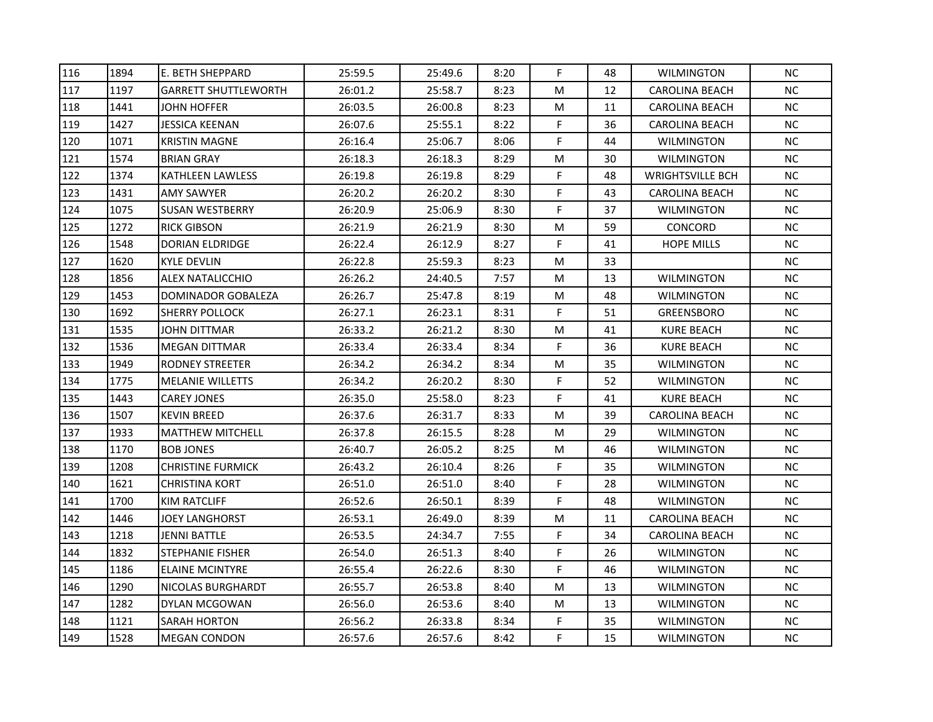| 116 | 1894 | le. BETH SHEPPARD           | 25:59.5 | 25:49.6 | 8:20 | F. | 48 | <b>WILMINGTON</b>       | NC.       |
|-----|------|-----------------------------|---------|---------|------|----|----|-------------------------|-----------|
| 117 | 1197 | <b>GARRETT SHUTTLEWORTH</b> | 26:01.2 | 25:58.7 | 8:23 | M  | 12 | <b>CAROLINA BEACH</b>   | $NC$      |
| 118 | 1441 | <b>JOHN HOFFER</b>          | 26:03.5 | 26:00.8 | 8:23 | М  | 11 | CAROLINA BEACH          | NC.       |
| 119 | 1427 | JESSICA KEENAN              | 26:07.6 | 25:55.1 | 8:22 | F  | 36 | <b>CAROLINA BEACH</b>   | NC        |
| 120 | 1071 | <b>KRISTIN MAGNE</b>        | 26:16.4 | 25:06.7 | 8:06 | F  | 44 | WILMINGTON              | NC        |
| 121 | 1574 | <b>BRIAN GRAY</b>           | 26:18.3 | 26:18.3 | 8:29 | М  | 30 | WILMINGTON              | NC        |
| 122 | 1374 | <b>KATHLEEN LAWLESS</b>     | 26:19.8 | 26:19.8 | 8:29 | F  | 48 | <b>WRIGHTSVILLE BCH</b> | NC        |
| 123 | 1431 | AMY SAWYER                  | 26:20.2 | 26:20.2 | 8:30 | F  | 43 | CAROLINA BEACH          | NC        |
| 124 | 1075 | <b>SUSAN WESTBERRY</b>      | 26:20.9 | 25:06.9 | 8:30 | F. | 37 | <b>WILMINGTON</b>       | NC        |
| 125 | 1272 | <b>RICK GIBSON</b>          | 26:21.9 | 26:21.9 | 8:30 | M  | 59 | CONCORD                 | NC        |
| 126 | 1548 | <b>DORIAN ELDRIDGE</b>      | 26:22.4 | 26:12.9 | 8:27 | F  | 41 | HOPE MILLS              | NC        |
| 127 | 1620 | <b>KYLE DEVLIN</b>          | 26:22.8 | 25:59.3 | 8:23 | M  | 33 |                         | <b>NC</b> |
| 128 | 1856 | <b>ALEX NATALICCHIO</b>     | 26:26.2 | 24:40.5 | 7:57 | M  | 13 | <b>WILMINGTON</b>       | NC        |
| 129 | 1453 | DOMINADOR GOBALEZA          | 26:26.7 | 25:47.8 | 8:19 | M  | 48 | <b>WILMINGTON</b>       | NC        |
| 130 | 1692 | <b>SHERRY POLLOCK</b>       | 26:27.1 | 26:23.1 | 8:31 | F  | 51 | GREENSBORO              | $NC$      |
| 131 | 1535 | JOHN DITTMAR                | 26:33.2 | 26:21.2 | 8:30 | M  | 41 | <b>KURE BEACH</b>       | NC        |
| 132 | 1536 | <b>MEGAN DITTMAR</b>        | 26:33.4 | 26:33.4 | 8:34 | F  | 36 | <b>KURE BEACH</b>       | NC.       |
| 133 | 1949 | <b>RODNEY STREETER</b>      | 26:34.2 | 26:34.2 | 8:34 | M  | 35 | <b>WILMINGTON</b>       | NC        |
| 134 | 1775 | <b>MELANIE WILLETTS</b>     | 26:34.2 | 26:20.2 | 8:30 | F. | 52 | <b>WILMINGTON</b>       | NC        |
| 135 | 1443 | <b>CAREY JONES</b>          | 26:35.0 | 25:58.0 | 8:23 | F  | 41 | <b>KURE BEACH</b>       | NC        |
| 136 | 1507 | KEVIN BREED                 | 26:37.6 | 26:31.7 | 8:33 | м  | 39 | CAROLINA BEACH          | $NC$      |
| 137 | 1933 | <b>MATTHEW MITCHELL</b>     | 26:37.8 | 26:15.5 | 8:28 | M  | 29 | <b>WILMINGTON</b>       | NC        |
| 138 | 1170 | <b>BOB JONES</b>            | 26:40.7 | 26:05.2 | 8:25 | M  | 46 | <b>WILMINGTON</b>       | NC        |
| 139 | 1208 | <b>CHRISTINE FURMICK</b>    | 26:43.2 | 26:10.4 | 8:26 | F. | 35 | <b>WILMINGTON</b>       | NC.       |
| 140 | 1621 | <b>CHRISTINA KORT</b>       | 26:51.0 | 26:51.0 | 8:40 | F  | 28 | <b>WILMINGTON</b>       | NC        |
| 141 | 1700 | KIM RATCLIFF                | 26:52.6 | 26:50.1 | 8:39 | F  | 48 | WILMINGTON              | NC        |
| 142 | 1446 | JOEY LANGHORST              | 26:53.1 | 26:49.0 | 8:39 | M  | 11 | CAROLINA BEACH          | NC.       |
| 143 | 1218 | <b>JENNI BATTLE</b>         | 26:53.5 | 24:34.7 | 7:55 | F  | 34 | CAROLINA BEACH          | NC        |
| 144 | 1832 | <b>STEPHANIE FISHER</b>     | 26:54.0 | 26:51.3 | 8:40 | F  | 26 | <b>WILMINGTON</b>       | NC        |
| 145 | 1186 | <b>ELAINE MCINTYRE</b>      | 26:55.4 | 26:22.6 | 8:30 | F  | 46 | <b>WILMINGTON</b>       | NC        |
| 146 | 1290 | NICOLAS BURGHARDT           | 26:55.7 | 26:53.8 | 8:40 | M  | 13 | <b>WILMINGTON</b>       | NC        |
| 147 | 1282 | DYLAN MCGOWAN               | 26:56.0 | 26:53.6 | 8:40 | м  | 13 | WILMINGTON              | NC.       |
| 148 | 1121 | <b>SARAH HORTON</b>         | 26:56.2 | 26:33.8 | 8:34 | F  | 35 | <b>WILMINGTON</b>       | NC.       |
| 149 | 1528 | <b>MEGAN CONDON</b>         | 26:57.6 | 26:57.6 | 8:42 | F  | 15 | <b>WILMINGTON</b>       | NC        |
|     |      |                             |         |         |      |    |    |                         |           |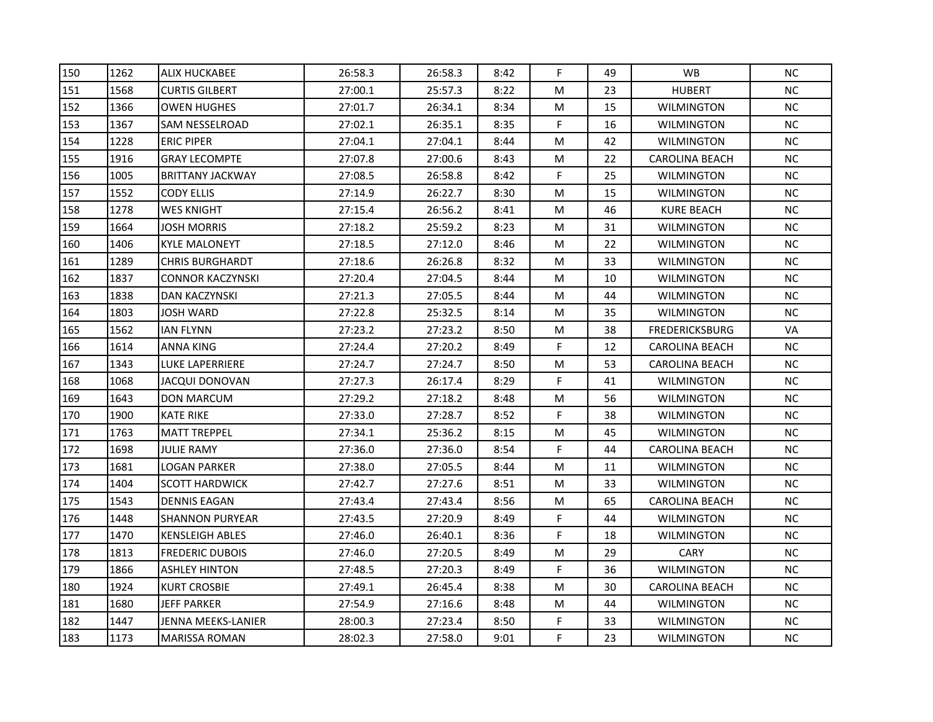| 150 | 1262 | <b>ALIX HUCKABEE</b>    | 26:58.3 | 26:58.3 | 8:42 | F  | 49 | <b>WB</b>             | <b>NC</b> |
|-----|------|-------------------------|---------|---------|------|----|----|-----------------------|-----------|
| 151 | 1568 | <b>CURTIS GILBERT</b>   | 27:00.1 | 25:57.3 | 8:22 | M  | 23 | <b>HUBERT</b>         | <b>NC</b> |
| 152 | 1366 | <b>OWEN HUGHES</b>      | 27:01.7 | 26:34.1 | 8:34 | M  | 15 | <b>WILMINGTON</b>     | NC.       |
| 153 | 1367 | SAM NESSELROAD          | 27:02.1 | 26:35.1 | 8:35 | F. | 16 | <b>WILMINGTON</b>     | NC        |
| 154 | 1228 | <b>ERIC PIPER</b>       | 27:04.1 | 27:04.1 | 8:44 | M  | 42 | WILMINGTON            | <b>NC</b> |
| 155 | 1916 | <b>GRAY LECOMPTE</b>    | 27:07.8 | 27:00.6 | 8:43 | M  | 22 | <b>CAROLINA BEACH</b> | <b>NC</b> |
| 156 | 1005 | <b>BRITTANY JACKWAY</b> | 27:08.5 | 26:58.8 | 8:42 | F  | 25 | <b>WILMINGTON</b>     | <b>NC</b> |
| 157 | 1552 | <b>CODY ELLIS</b>       | 27:14.9 | 26:22.7 | 8:30 | M  | 15 | <b>WILMINGTON</b>     | <b>NC</b> |
| 158 | 1278 | <b>WES KNIGHT</b>       | 27:15.4 | 26:56.2 | 8:41 | M  | 46 | KURE BEACH            | NC        |
| 159 | 1664 | <b>JOSH MORRIS</b>      | 27:18.2 | 25:59.2 | 8:23 | M  | 31 | <b>WILMINGTON</b>     | NC        |
| 160 | 1406 | <b>KYLE MALONEYT</b>    | 27:18.5 | 27:12.0 | 8:46 | M  | 22 | <b>WILMINGTON</b>     | <b>NC</b> |
| 161 | 1289 | <b>CHRIS BURGHARDT</b>  | 27:18.6 | 26:26.8 | 8:32 | M  | 33 | <b>WILMINGTON</b>     | NC        |
| 162 | 1837 | <b>CONNOR KACZYNSKI</b> | 27:20.4 | 27:04.5 | 8:44 | M  | 10 | <b>WILMINGTON</b>     | <b>NC</b> |
| 163 | 1838 | DAN KACZYNSKI           | 27:21.3 | 27:05.5 | 8:44 | M  | 44 | <b>WILMINGTON</b>     | <b>NC</b> |
| 164 | 1803 | JOSH WARD               | 27:22.8 | 25:32.5 | 8:14 | M  | 35 | WILMINGTON            | <b>NC</b> |
| 165 | 1562 | <b>IAN FLYNN</b>        | 27:23.2 | 27:23.2 | 8:50 | M  | 38 | <b>FREDERICKSBURG</b> | VA        |
| 166 | 1614 | <b>ANNA KING</b>        | 27:24.4 | 27:20.2 | 8:49 | F  | 12 | <b>CAROLINA BEACH</b> | <b>NC</b> |
| 167 | 1343 | LUKE LAPERRIERE         | 27:24.7 | 27:24.7 | 8:50 | M  | 53 | <b>CAROLINA BEACH</b> | <b>NC</b> |
| 168 | 1068 | JACQUI DONOVAN          | 27:27.3 | 26:17.4 | 8:29 | F  | 41 | <b>WILMINGTON</b>     | NC        |
| 169 | 1643 | <b>DON MARCUM</b>       | 27:29.2 | 27:18.2 | 8:48 | M  | 56 | <b>WILMINGTON</b>     | NC        |
| 170 | 1900 | KATE RIKE               | 27:33.0 | 27:28.7 | 8:52 | F  | 38 | WILMINGTON            | <b>NC</b> |
| 171 | 1763 | <b>MATT TREPPEL</b>     | 27:34.1 | 25:36.2 | 8:15 | M  | 45 | <b>WILMINGTON</b>     | <b>NC</b> |
| 172 | 1698 | <b>JULIE RAMY</b>       | 27:36.0 | 27:36.0 | 8:54 | F  | 44 | <b>CAROLINA BEACH</b> | <b>NC</b> |
| 173 | 1681 | LOGAN PARKER            | 27:38.0 | 27:05.5 | 8:44 | M  | 11 | <b>WILMINGTON</b>     | <b>NC</b> |
| 174 | 1404 | <b>SCOTT HARDWICK</b>   | 27:42.7 | 27:27.6 | 8:51 | M  | 33 | <b>WILMINGTON</b>     | NC        |
| 175 | 1543 | <b>DENNIS EAGAN</b>     | 27:43.4 | 27:43.4 | 8:56 | M  | 65 | <b>CAROLINA BEACH</b> | NC        |
| 176 | 1448 | <b>SHANNON PURYEAR</b>  | 27:43.5 | 27:20.9 | 8:49 | F  | 44 | WILMINGTON            | NC.       |
| 177 | 1470 | <b>KENSLEIGH ABLES</b>  | 27:46.0 | 26:40.1 | 8:36 | F  | 18 | <b>WILMINGTON</b>     | NC.       |
| 178 | 1813 | <b>FREDERIC DUBOIS</b>  | 27:46.0 | 27:20.5 | 8:49 | M  | 29 | <b>CARY</b>           | <b>NC</b> |
| 179 | 1866 | <b>ASHLEY HINTON</b>    | 27:48.5 | 27:20.3 | 8:49 | F  | 36 | <b>WILMINGTON</b>     | NC        |
| 180 | 1924 | <b>KURT CROSBIE</b>     | 27:49.1 | 26:45.4 | 8:38 | M  | 30 | <b>CAROLINA BEACH</b> | NC        |
| 181 | 1680 | JEFF PARKER             | 27:54.9 | 27:16.6 | 8:48 | M  | 44 | <b>WILMINGTON</b>     | <b>NC</b> |
| 182 | 1447 | JENNA MEEKS-LANIER      | 28:00.3 | 27:23.4 | 8:50 | F  | 33 | <b>WILMINGTON</b>     | NC.       |
| 183 | 1173 | <b>MARISSA ROMAN</b>    | 28:02.3 | 27:58.0 | 9:01 | F  | 23 | <b>WILMINGTON</b>     | NC        |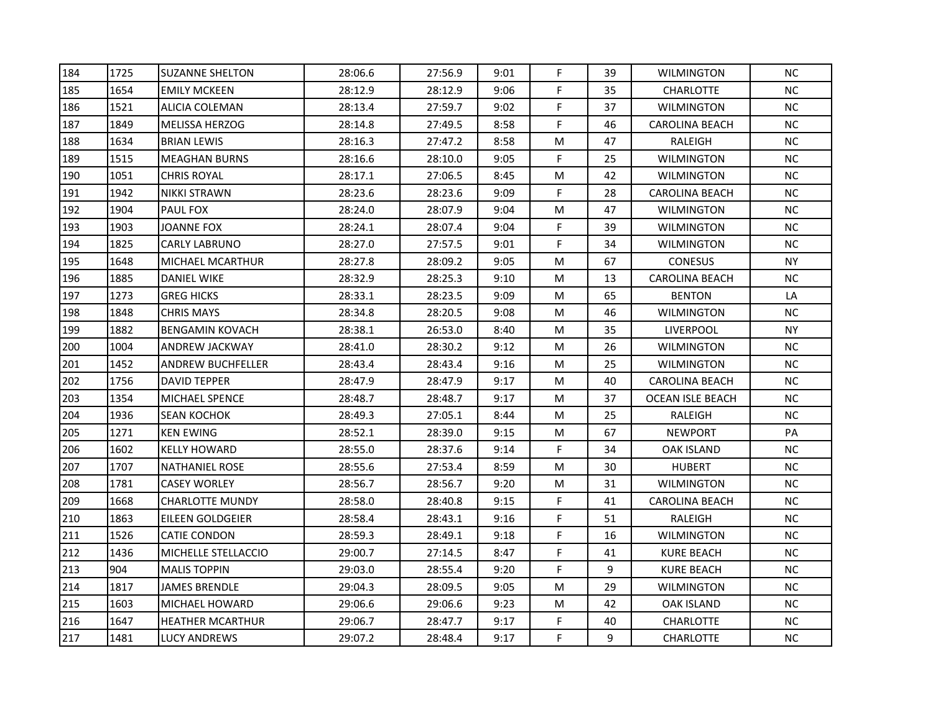| 184 | 1725 | <b>SUZANNE SHELTON</b>   | 28:06.6 | 27:56.9 | 9:01 | F  | 39 | <b>WILMINGTON</b>     | <b>NC</b> |
|-----|------|--------------------------|---------|---------|------|----|----|-----------------------|-----------|
| 185 | 1654 | <b>EMILY MCKEEN</b>      | 28:12.9 | 28:12.9 | 9:06 | F  | 35 | <b>CHARLOTTE</b>      | <b>NC</b> |
| 186 | 1521 | ALICIA COLEMAN           | 28:13.4 | 27:59.7 | 9:02 | F  | 37 | <b>WILMINGTON</b>     | NC.       |
| 187 | 1849 | <b>MELISSA HERZOG</b>    | 28:14.8 | 27:49.5 | 8:58 | F  | 46 | <b>CAROLINA BEACH</b> | NC        |
| 188 | 1634 | <b>BRIAN LEWIS</b>       | 28:16.3 | 27:47.2 | 8:58 | M  | 47 | RALEIGH               | <b>NC</b> |
| 189 | 1515 | <b>MEAGHAN BURNS</b>     | 28:16.6 | 28:10.0 | 9:05 | F  | 25 | <b>WILMINGTON</b>     | NC.       |
| 190 | 1051 | <b>CHRIS ROYAL</b>       | 28:17.1 | 27:06.5 | 8:45 | M  | 42 | <b>WILMINGTON</b>     | <b>NC</b> |
| 191 | 1942 | <b>NIKKI STRAWN</b>      | 28:23.6 | 28:23.6 | 9:09 | F  | 28 | <b>CAROLINA BEACH</b> | <b>NC</b> |
| 192 | 1904 | <b>PAUL FOX</b>          | 28:24.0 | 28:07.9 | 9:04 | M  | 47 | <b>WILMINGTON</b>     | <b>NC</b> |
| 193 | 1903 | JOANNE FOX               | 28:24.1 | 28:07.4 | 9:04 | F  | 39 | <b>WILMINGTON</b>     | NC        |
| 194 | 1825 | <b>CARLY LABRUNO</b>     | 28:27.0 | 27:57.5 | 9:01 | F  | 34 | <b>WILMINGTON</b>     | <b>NC</b> |
| 195 | 1648 | MICHAEL MCARTHUR         | 28:27.8 | 28:09.2 | 9:05 | M  | 67 | <b>CONESUS</b>        | <b>NY</b> |
| 196 | 1885 | DANIEL WIKE              | 28:32.9 | 28:25.3 | 9:10 | M  | 13 | <b>CAROLINA BEACH</b> | NC.       |
| 197 | 1273 | <b>GREG HICKS</b>        | 28:33.1 | 28:23.5 | 9:09 | M  | 65 | <b>BENTON</b>         | LA        |
| 198 | 1848 | <b>CHRIS MAYS</b>        | 28:34.8 | 28:20.5 | 9:08 | M  | 46 | <b>WILMINGTON</b>     | <b>NC</b> |
| 199 | 1882 | <b>BENGAMIN KOVACH</b>   | 28:38.1 | 26:53.0 | 8:40 | M  | 35 | <b>LIVERPOOL</b>      | <b>NY</b> |
| 200 | 1004 | ANDREW JACKWAY           | 28:41.0 | 28:30.2 | 9:12 | M  | 26 | <b>WILMINGTON</b>     | <b>NC</b> |
| 201 | 1452 | <b>ANDREW BUCHFELLER</b> | 28:43.4 | 28:43.4 | 9:16 | M  | 25 | <b>WILMINGTON</b>     | NC        |
| 202 | 1756 | <b>DAVID TEPPER</b>      | 28:47.9 | 28:47.9 | 9:17 | M  | 40 | CAROLINA BEACH        | <b>NC</b> |
| 203 | 1354 | <b>MICHAEL SPENCE</b>    | 28:48.7 | 28:48.7 | 9:17 | M  | 37 | OCEAN ISLE BEACH      | <b>NC</b> |
| 204 | 1936 | SEAN KOCHOK              | 28:49.3 | 27:05.1 | 8:44 | M  | 25 | RALEIGH               | NC        |
| 205 | 1271 | <b>KEN EWING</b>         | 28:52.1 | 28:39.0 | 9:15 | M  | 67 | <b>NEWPORT</b>        | PA        |
| 206 | 1602 | <b>KELLY HOWARD</b>      | 28:55.0 | 28:37.6 | 9:14 | F. | 34 | OAK ISLAND            | NC.       |
| 207 | 1707 | <b>NATHANIEL ROSE</b>    | 28:55.6 | 27:53.4 | 8:59 | M  | 30 | <b>HUBERT</b>         | <b>NC</b> |
| 208 | 1781 | <b>CASEY WORLEY</b>      | 28:56.7 | 28:56.7 | 9:20 | M  | 31 | <b>WILMINGTON</b>     | NC        |
| 209 | 1668 | CHARLOTTE MUNDY          | 28:58.0 | 28:40.8 | 9:15 | F  | 41 | <b>CAROLINA BEACH</b> | <b>NC</b> |
| 210 | 1863 | EILEEN GOLDGEIER         | 28:58.4 | 28:43.1 | 9:16 | F  | 51 | RALEIGH               | NC.       |
| 211 | 1526 | <b>CATIE CONDON</b>      | 28:59.3 | 28:49.1 | 9:18 | F  | 16 | <b>WILMINGTON</b>     | <b>NC</b> |
| 212 | 1436 | MICHELLE STELLACCIO      | 29:00.7 | 27:14.5 | 8:47 | F  | 41 | <b>KURE BEACH</b>     | <b>NC</b> |
| 213 | 904  | <b>MALIS TOPPIN</b>      | 29:03.0 | 28:55.4 | 9:20 | F  | 9  | KURE BEACH            | <b>NC</b> |
| 214 | 1817 | <b>JAMES BRENDLE</b>     | 29:04.3 | 28:09.5 | 9:05 | M  | 29 | <b>WILMINGTON</b>     | <b>NC</b> |
| 215 | 1603 | MICHAEL HOWARD           | 29:06.6 | 29:06.6 | 9:23 | M  | 42 | <b>OAK ISLAND</b>     | <b>NC</b> |
| 216 | 1647 | <b>HEATHER MCARTHUR</b>  | 29:06.7 | 28:47.7 | 9:17 | F  | 40 | CHARLOTTE             | <b>NC</b> |
| 217 | 1481 | LUCY ANDREWS             | 29:07.2 | 28:48.4 | 9:17 | F  | 9  | <b>CHARLOTTE</b>      | NC        |
|     |      |                          |         |         |      |    |    |                       |           |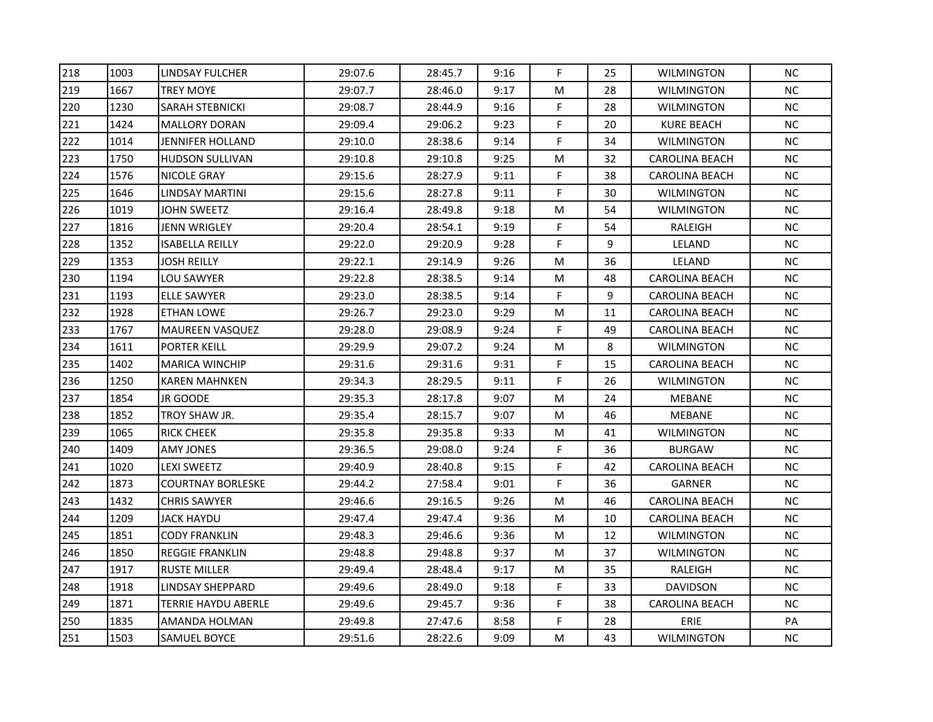| 218 | 1003 | <b>LINDSAY FULCHER</b>   | 29:07.6 | 28:45.7 | 9:16 | F  | 25 | <b>WILMINGTON</b>     | <b>NC</b> |
|-----|------|--------------------------|---------|---------|------|----|----|-----------------------|-----------|
| 219 | 1667 | <b>TREY MOYE</b>         | 29:07.7 | 28:46.0 | 9:17 | M  | 28 | <b>WILMINGTON</b>     | NC        |
| 220 | 1230 | <b>SARAH STEBNICKI</b>   | 29:08.7 | 28:44.9 | 9:16 | F  | 28 | <b>WILMINGTON</b>     | NC.       |
| 221 | 1424 | <b>MALLORY DORAN</b>     | 29:09.4 | 29:06.2 | 9:23 | F  | 20 | <b>KURE BEACH</b>     | NC        |
| 222 | 1014 | JENNIFER HOLLAND         | 29:10.0 | 28:38.6 | 9:14 | F  | 34 | <b>WILMINGTON</b>     | <b>NC</b> |
| 223 | 1750 | <b>HUDSON SULLIVAN</b>   | 29:10.8 | 29:10.8 | 9:25 | M  | 32 | <b>CAROLINA BEACH</b> | NC.       |
| 224 | 1576 | NICOLE GRAY              | 29:15.6 | 28:27.9 | 9:11 | F  | 38 | <b>CAROLINA BEACH</b> | <b>NC</b> |
| 225 | 1646 | LINDSAY MARTINI          | 29:15.6 | 28:27.8 | 9:11 | F  | 30 | <b>WILMINGTON</b>     | <b>NC</b> |
| 226 | 1019 | JOHN SWEETZ              | 29:16.4 | 28:49.8 | 9:18 | M  | 54 | <b>WILMINGTON</b>     | NC        |
| 227 | 1816 | JENN WRIGLEY             | 29:20.4 | 28:54.1 | 9:19 | F  | 54 | RALEIGH               | NC        |
| 228 | 1352 | <b>ISABELLA REILLY</b>   | 29:22.0 | 29:20.9 | 9:28 | F  | 9  | LELAND                | <b>NC</b> |
| 229 | 1353 | <b>JOSH REILLY</b>       | 29:22.1 | 29:14.9 | 9:26 | M  | 36 | LELAND                | NC        |
| 230 | 1194 | LOU SAWYER               | 29:22.8 | 28:38.5 | 9:14 | M  | 48 | <b>CAROLINA BEACH</b> | <b>NC</b> |
| 231 | 1193 | ELLE SAWYER              | 29:23.0 | 28:38.5 | 9:14 | F  | 9  | <b>CAROLINA BEACH</b> | <b>NC</b> |
| 232 | 1928 | ETHAN LOWE               | 29:26.7 | 29:23.0 | 9:29 | M  | 11 | <b>CAROLINA BEACH</b> | <b>NC</b> |
| 233 | 1767 | <b>MAUREEN VASQUEZ</b>   | 29:28.0 | 29:08.9 | 9:24 | F  | 49 | CAROLINA BEACH        | <b>NC</b> |
| 234 | 1611 | PORTER KEILL             | 29:29.9 | 29:07.2 | 9:24 | M  | 8  | <b>WILMINGTON</b>     | <b>NC</b> |
| 235 | 1402 | <b>MARICA WINCHIP</b>    | 29:31.6 | 29:31.6 | 9:31 | F  | 15 | <b>CAROLINA BEACH</b> | <b>NC</b> |
| 236 | 1250 | <b>KAREN MAHNKEN</b>     | 29:34.3 | 28:29.5 | 9:11 | F  | 26 | <b>WILMINGTON</b>     | NC        |
| 237 | 1854 | <b>JR GOODE</b>          | 29:35.3 | 28:17.8 | 9:07 | M  | 24 | MEBANE                | NC        |
| 238 | 1852 | TROY SHAW JR.            | 29:35.4 | 28:15.7 | 9:07 | М  | 46 | MEBANE                | <b>NC</b> |
| 239 | 1065 | <b>RICK CHEEK</b>        | 29:35.8 | 29:35.8 | 9:33 | M  | 41 | <b>WILMINGTON</b>     | <b>NC</b> |
| 240 | 1409 | <b>AMY JONES</b>         | 29:36.5 | 29:08.0 | 9:24 | F  | 36 | <b>BURGAW</b>         | <b>NC</b> |
| 241 | 1020 | LEXI SWEETZ              | 29:40.9 | 28:40.8 | 9:15 | F. | 42 | <b>CAROLINA BEACH</b> | NC.       |
| 242 | 1873 | <b>COURTNAY BORLESKE</b> | 29:44.2 | 27:58.4 | 9:01 | F  | 36 | <b>GARNER</b>         | NC        |
| 243 | 1432 | <b>CHRIS SAWYER</b>      | 29:46.6 | 29:16.5 | 9:26 | M  | 46 | <b>CAROLINA BEACH</b> | <b>NC</b> |
| 244 | 1209 | JACK HAYDU               | 29:47.4 | 29:47.4 | 9:36 | M  | 10 | CAROLINA BEACH        | NC.       |
| 245 | 1851 | <b>CODY FRANKLIN</b>     | 29:48.3 | 29:46.6 | 9:36 | M  | 12 | <b>WILMINGTON</b>     | NC.       |
| 246 | 1850 | <b>REGGIE FRANKLIN</b>   | 29:48.8 | 29:48.8 | 9:37 | M  | 37 | <b>WILMINGTON</b>     | <b>NC</b> |
| 247 | 1917 | RUSTE MILLER             | 29:49.4 | 28:48.4 | 9:17 | M  | 35 | RALEIGH               | NC        |
| 248 | 1918 | <b>LINDSAY SHEPPARD</b>  | 29:49.6 | 28:49.0 | 9:18 | F  | 33 | <b>DAVIDSON</b>       | NC        |
| 249 | 1871 | TERRIE HAYDU ABERLE      | 29:49.6 | 29:45.7 | 9:36 | F  | 38 | <b>CAROLINA BEACH</b> | NC.       |
| 250 | 1835 | AMANDA HOLMAN            | 29:49.8 | 27:47.6 | 8:58 | F  | 28 | ERIE                  | PA        |
| 251 | 1503 | <b>SAMUEL BOYCE</b>      | 29:51.6 | 28:22.6 | 9:09 | M  | 43 | <b>WILMINGTON</b>     | NC        |
|     |      |                          |         |         |      |    |    |                       |           |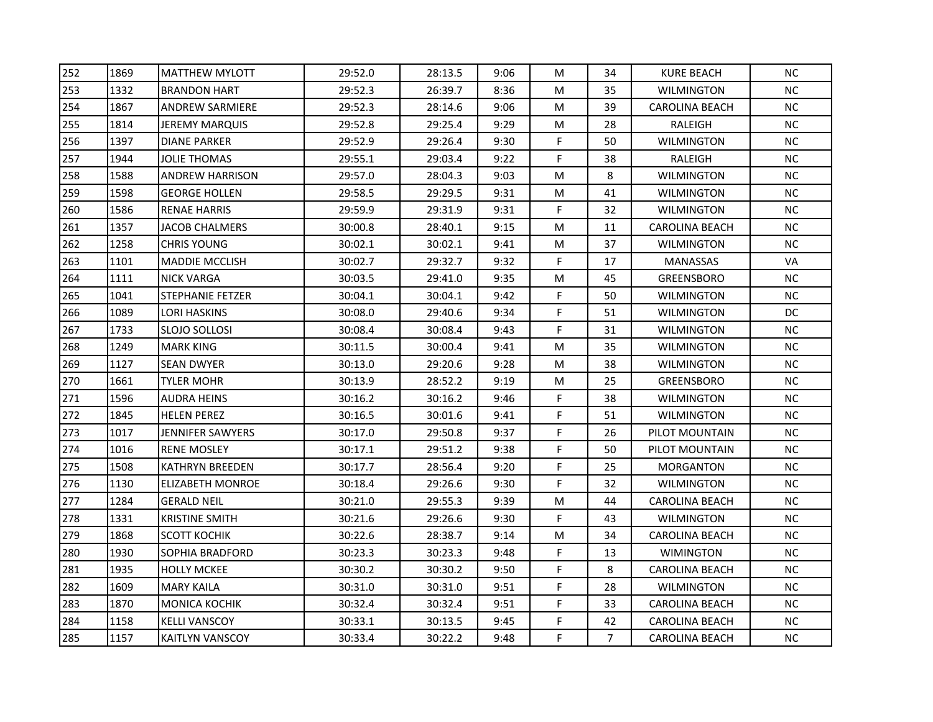| 252 | 1869 | <b>MATTHEW MYLOTT</b>   | 29:52.0 | 28:13.5 | 9:06 | M  | 34             | <b>KURE BEACH</b>     | <b>NC</b> |
|-----|------|-------------------------|---------|---------|------|----|----------------|-----------------------|-----------|
| 253 | 1332 | <b>BRANDON HART</b>     | 29:52.3 | 26:39.7 | 8:36 | M  | 35             | <b>WILMINGTON</b>     | <b>NC</b> |
| 254 | 1867 | <b>ANDREW SARMIERE</b>  | 29:52.3 | 28:14.6 | 9:06 | M  | 39             | CAROLINA BEACH        | <b>NC</b> |
| 255 | 1814 | JEREMY MARQUIS          | 29:52.8 | 29:25.4 | 9:29 | M  | 28             | RALEIGH               | $\sf NC$  |
| 256 | 1397 | DIANE PARKER            | 29:52.9 | 29:26.4 | 9:30 | F  | 50             | <b>WILMINGTON</b>     | <b>NC</b> |
| 257 | 1944 | JOLIE THOMAS            | 29:55.1 | 29:03.4 | 9:22 | F. | 38             | RALEIGH               | <b>NC</b> |
| 258 | 1588 | <b>ANDREW HARRISON</b>  | 29:57.0 | 28:04.3 | 9:03 | M  | 8              | <b>WILMINGTON</b>     | <b>NC</b> |
| 259 | 1598 | <b>GEORGE HOLLEN</b>    | 29:58.5 | 29:29.5 | 9:31 | M  | 41             | <b>WILMINGTON</b>     | <b>NC</b> |
| 260 | 1586 | <b>RENAE HARRIS</b>     | 29:59.9 | 29:31.9 | 9:31 | F. | 32             | <b>WILMINGTON</b>     | <b>NC</b> |
| 261 | 1357 | <b>JACOB CHALMERS</b>   | 30:00.8 | 28:40.1 | 9:15 | M  | 11             | <b>CAROLINA BEACH</b> | NC        |
| 262 | 1258 | <b>CHRIS YOUNG</b>      | 30:02.1 | 30:02.1 | 9:41 | M  | 37             | <b>WILMINGTON</b>     | <b>NC</b> |
| 263 | 1101 | <b>MADDIE MCCLISH</b>   | 30:02.7 | 29:32.7 | 9:32 | F  | 17             | <b>MANASSAS</b>       | VA        |
| 264 | 1111 | <b>NICK VARGA</b>       | 30:03.5 | 29:41.0 | 9:35 | M  | 45             | <b>GREENSBORO</b>     | <b>NC</b> |
| 265 | 1041 | <b>STEPHANIE FETZER</b> | 30:04.1 | 30:04.1 | 9:42 | F  | 50             | <b>WILMINGTON</b>     | <b>NC</b> |
| 266 | 1089 | LORI HASKINS            | 30:08.0 | 29:40.6 | 9:34 | F  | 51             | WILMINGTON            | DC        |
| 267 | 1733 | SLOJO SOLLOSI           | 30:08.4 | 30:08.4 | 9:43 | F  | 31             | WILMINGTON            | <b>NC</b> |
| 268 | 1249 | <b>MARK KING</b>        | 30:11.5 | 30:00.4 | 9:41 | M  | 35             | <b>WILMINGTON</b>     | <b>NC</b> |
| 269 | 1127 | <b>SEAN DWYER</b>       | 30:13.0 | 29:20.6 | 9:28 | M  | 38             | <b>WILMINGTON</b>     | <b>NC</b> |
| 270 | 1661 | TYLER MOHR              | 30:13.9 | 28:52.2 | 9:19 | M  | 25             | <b>GREENSBORO</b>     | <b>NC</b> |
| 271 | 1596 | AUDRA HEINS             | 30:16.2 | 30:16.2 | 9:46 | F  | 38             | <b>WILMINGTON</b>     | NC        |
| 272 | 1845 | HELEN PEREZ             | 30:16.5 | 30:01.6 | 9:41 | F  | 51             | WILMINGTON            | <b>NC</b> |
| 273 | 1017 | <b>JENNIFER SAWYERS</b> | 30:17.0 | 29:50.8 | 9:37 | F  | 26             | PILOT MOUNTAIN        | <b>NC</b> |
| 274 | 1016 | <b>RENE MOSLEY</b>      | 30:17.1 | 29:51.2 | 9:38 | F  | 50             | PILOT MOUNTAIN        | <b>NC</b> |
| 275 | 1508 | <b>KATHRYN BREEDEN</b>  | 30:17.7 | 28:56.4 | 9:20 | F  | 25             | <b>MORGANTON</b>      | <b>NC</b> |
| 276 | 1130 | ELIZABETH MONROE        | 30:18.4 | 29:26.6 | 9:30 | F  | 32             | <b>WILMINGTON</b>     | NC        |
| 277 | 1284 | <b>GERALD NEIL</b>      | 30:21.0 | 29:55.3 | 9:39 | M  | 44             | <b>CAROLINA BEACH</b> | <b>NC</b> |
| 278 | 1331 | <b>KRISTINE SMITH</b>   | 30:21.6 | 29:26.6 | 9:30 | F  | 43             | <b>WILMINGTON</b>     | <b>NC</b> |
| 279 | 1868 | <b>SCOTT KOCHIK</b>     | 30:22.6 | 28:38.7 | 9:14 | M  | 34             | <b>CAROLINA BEACH</b> | <b>NC</b> |
| 280 | 1930 | SOPHIA BRADFORD         | 30:23.3 | 30:23.3 | 9:48 | F  | 13             | <b>WIMINGTON</b>      | <b>NC</b> |
| 281 | 1935 | <b>HOLLY MCKEE</b>      | 30:30.2 | 30:30.2 | 9:50 | F  | 8              | <b>CAROLINA BEACH</b> | <b>NC</b> |
| 282 | 1609 | <b>MARY KAILA</b>       | 30:31.0 | 30:31.0 | 9:51 | F  | 28             | <b>WILMINGTON</b>     | <b>NC</b> |
| 283 | 1870 | <b>MONICA KOCHIK</b>    | 30:32.4 | 30:32.4 | 9:51 | F  | 33             | <b>CAROLINA BEACH</b> | NC.       |
| 284 | 1158 | <b>KELLI VANSCOY</b>    | 30:33.1 | 30:13.5 | 9:45 | F  | 42             | <b>CAROLINA BEACH</b> | NC.       |
| 285 | 1157 | <b>KAITLYN VANSCOY</b>  | 30:33.4 | 30:22.2 | 9:48 | F  | $\overline{7}$ | <b>CAROLINA BEACH</b> | NC.       |
|     |      |                         |         |         |      |    |                |                       |           |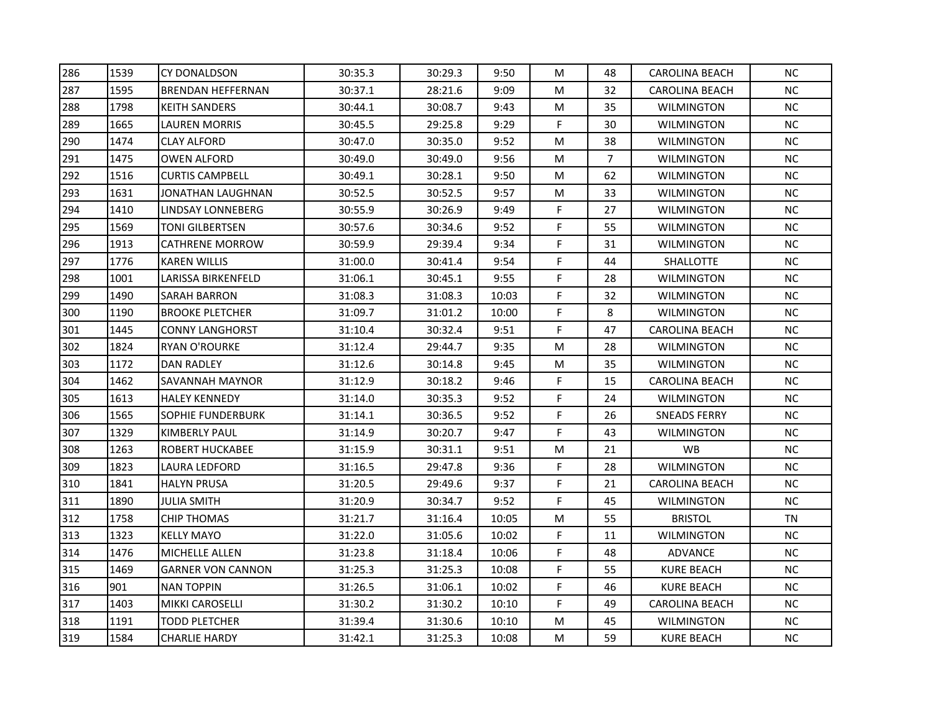| 286 | 1539 | <b>CY DONALDSON</b>      | 30:35.3 | 30:29.3 | 9:50  | M           | 48 | <b>CAROLINA BEACH</b> | <b>NC</b> |
|-----|------|--------------------------|---------|---------|-------|-------------|----|-----------------------|-----------|
| 287 | 1595 | <b>BRENDAN HEFFERNAN</b> | 30:37.1 | 28:21.6 | 9:09  | M           | 32 | <b>CAROLINA BEACH</b> | <b>NC</b> |
| 288 | 1798 | <b>KEITH SANDERS</b>     | 30:44.1 | 30:08.7 | 9:43  | M           | 35 | <b>WILMINGTON</b>     | NC.       |
| 289 | 1665 | LAUREN MORRIS            | 30:45.5 | 29:25.8 | 9:29  | F.          | 30 | <b>WILMINGTON</b>     | NC        |
| 290 | 1474 | CLAY ALFORD              | 30:47.0 | 30:35.0 | 9:52  | M           | 38 | WILMINGTON            | <b>NC</b> |
| 291 | 1475 | OWEN ALFORD              | 30:49.0 | 30:49.0 | 9:56  | M           | 7  | <b>WILMINGTON</b>     | <b>NC</b> |
| 292 | 1516 | <b>CURTIS CAMPBELL</b>   | 30:49.1 | 30:28.1 | 9:50  | M           | 62 | <b>WILMINGTON</b>     | <b>NC</b> |
| 293 | 1631 | JONATHAN LAUGHNAN        | 30:52.5 | 30:52.5 | 9:57  | M           | 33 | <b>WILMINGTON</b>     | <b>NC</b> |
| 294 | 1410 | LINDSAY LONNEBERG        | 30:55.9 | 30:26.9 | 9:49  | F.          | 27 | <b>WILMINGTON</b>     | <b>NC</b> |
| 295 | 1569 | TONI GILBERTSEN          | 30:57.6 | 30:34.6 | 9:52  | F           | 55 | <b>WILMINGTON</b>     | NC        |
| 296 | 1913 | <b>CATHRENE MORROW</b>   | 30:59.9 | 29:39.4 | 9:34  | F           | 31 | <b>WILMINGTON</b>     | <b>NC</b> |
| 297 | 1776 | <b>KAREN WILLIS</b>      | 31:00.0 | 30:41.4 | 9:54  | F           | 44 | <b>SHALLOTTE</b>      | NC        |
| 298 | 1001 | LARISSA BIRKENFELD       | 31:06.1 | 30:45.1 | 9:55  | F           | 28 | <b>WILMINGTON</b>     | <b>NC</b> |
| 299 | 1490 | SARAH BARRON             | 31:08.3 | 31:08.3 | 10:03 | F           | 32 | <b>WILMINGTON</b>     | <b>NC</b> |
| 300 | 1190 | <b>BROOKE PLETCHER</b>   | 31:09.7 | 31:01.2 | 10:00 | F           | 8  | WILMINGTON            | <b>NC</b> |
| 301 | 1445 | <b>CONNY LANGHORST</b>   | 31:10.4 | 30:32.4 | 9:51  | F           | 47 | <b>CAROLINA BEACH</b> | <b>NC</b> |
| 302 | 1824 | <b>RYAN O'ROURKE</b>     | 31:12.4 | 29:44.7 | 9:35  | M           | 28 | <b>WILMINGTON</b>     | <b>NC</b> |
| 303 | 1172 | <b>DAN RADLEY</b>        | 31:12.6 | 30:14.8 | 9:45  | M           | 35 | <b>WILMINGTON</b>     | <b>NC</b> |
| 304 | 1462 | SAVANNAH MAYNOR          | 31:12.9 | 30:18.2 | 9:46  | F           | 15 | <b>CAROLINA BEACH</b> | NC        |
| 305 | 1613 | <b>HALEY KENNEDY</b>     | 31:14.0 | 30:35.3 | 9:52  | F           | 24 | <b>WILMINGTON</b>     | NC        |
| 306 | 1565 | SOPHIE FUNDERBURK        | 31:14.1 | 30:36.5 | 9:52  | F           | 26 | SNEADS FERRY          | <b>NC</b> |
| 307 | 1329 | <b>KIMBERLY PAUL</b>     | 31:14.9 | 30:20.7 | 9:47  | F           | 43 | <b>WILMINGTON</b>     | <b>NC</b> |
| 308 | 1263 | ROBERT HUCKABEE          | 31:15.9 | 30:31.1 | 9:51  | M           | 21 | <b>WB</b>             | <b>NC</b> |
| 309 | 1823 | LAURA LEDFORD            | 31:16.5 | 29:47.8 | 9:36  | F           | 28 | <b>WILMINGTON</b>     | <b>NC</b> |
| 310 | 1841 | HALYN PRUSA              | 31:20.5 | 29:49.6 | 9:37  | F           | 21 | <b>CAROLINA BEACH</b> | NC        |
| 311 | 1890 | JULIA SMITH              | 31:20.9 | 30:34.7 | 9:52  | F           | 45 | <b>WILMINGTON</b>     | <b>NC</b> |
| 312 | 1758 | <b>CHIP THOMAS</b>       | 31:21.7 | 31:16.4 | 10:05 | M           | 55 | <b>BRISTOL</b>        | TN        |
| 313 | 1323 | <b>KELLY MAYO</b>        | 31:22.0 | 31:05.6 | 10:02 | F           | 11 | <b>WILMINGTON</b>     | NC.       |
| 314 | 1476 | <b>MICHELLE ALLEN</b>    | 31:23.8 | 31:18.4 | 10:06 | F           | 48 | ADVANCE               | <b>NC</b> |
| 315 | 1469 | <b>GARNER VON CANNON</b> | 31:25.3 | 31:25.3 | 10:08 | F           | 55 | <b>KURE BEACH</b>     | NC        |
| 316 | 901  | NAN TOPPIN               | 31:26.5 | 31:06.1 | 10:02 | $\mathsf F$ | 46 | <b>KURE BEACH</b>     | NC        |
| 317 | 1403 | <b>MIKKI CAROSELLI</b>   | 31:30.2 | 31:30.2 | 10:10 | F           | 49 | <b>CAROLINA BEACH</b> | NC.       |
| 318 | 1191 | <b>TODD PLETCHER</b>     | 31:39.4 | 31:30.6 | 10:10 | M           | 45 | <b>WILMINGTON</b>     | NC.       |
| 319 | 1584 | <b>CHARLIE HARDY</b>     | 31:42.1 | 31:25.3 | 10:08 | M           | 59 | <b>KURE BEACH</b>     | NC        |
|     |      |                          |         |         |       |             |    |                       |           |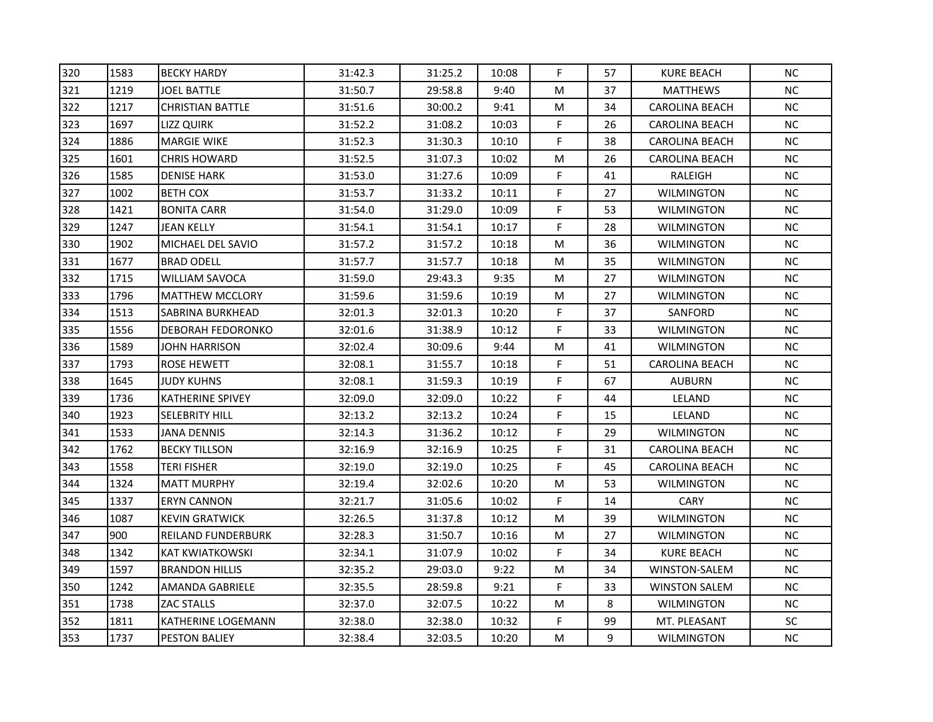| <b>KURE BEACH</b><br><b>MATTHEWS</b><br><b>CAROLINA BEACH</b><br><b>CAROLINA BEACH</b><br>CAROLINA BEACH<br><b>CAROLINA BEACH</b><br>RALEIGH<br><b>WILMINGTON</b><br><b>WILMINGTON</b><br><b>WILMINGTON</b><br><b>WILMINGTON</b><br><b>WILMINGTON</b><br><b>WILMINGTON</b><br><b>WILMINGTON</b><br>SANFORD<br><b>WILMINGTON</b><br><b>WILMINGTON</b><br><b>CAROLINA BEACH</b> | <b>NC</b><br>NC<br>NC.<br>NC<br><b>NC</b><br><b>NC</b><br><b>NC</b><br><b>NC</b><br>NC<br>NC<br><b>NC</b><br>NC<br><b>NC</b><br><b>NC</b><br><b>NC</b><br><b>NC</b><br><b>NC</b><br><b>NC</b> |
|-------------------------------------------------------------------------------------------------------------------------------------------------------------------------------------------------------------------------------------------------------------------------------------------------------------------------------------------------------------------------------|-----------------------------------------------------------------------------------------------------------------------------------------------------------------------------------------------|
|                                                                                                                                                                                                                                                                                                                                                                               |                                                                                                                                                                                               |
|                                                                                                                                                                                                                                                                                                                                                                               |                                                                                                                                                                                               |
|                                                                                                                                                                                                                                                                                                                                                                               |                                                                                                                                                                                               |
|                                                                                                                                                                                                                                                                                                                                                                               |                                                                                                                                                                                               |
|                                                                                                                                                                                                                                                                                                                                                                               |                                                                                                                                                                                               |
|                                                                                                                                                                                                                                                                                                                                                                               |                                                                                                                                                                                               |
|                                                                                                                                                                                                                                                                                                                                                                               |                                                                                                                                                                                               |
|                                                                                                                                                                                                                                                                                                                                                                               |                                                                                                                                                                                               |
|                                                                                                                                                                                                                                                                                                                                                                               |                                                                                                                                                                                               |
|                                                                                                                                                                                                                                                                                                                                                                               |                                                                                                                                                                                               |
|                                                                                                                                                                                                                                                                                                                                                                               |                                                                                                                                                                                               |
|                                                                                                                                                                                                                                                                                                                                                                               |                                                                                                                                                                                               |
|                                                                                                                                                                                                                                                                                                                                                                               |                                                                                                                                                                                               |
|                                                                                                                                                                                                                                                                                                                                                                               |                                                                                                                                                                                               |
|                                                                                                                                                                                                                                                                                                                                                                               |                                                                                                                                                                                               |
|                                                                                                                                                                                                                                                                                                                                                                               |                                                                                                                                                                                               |
|                                                                                                                                                                                                                                                                                                                                                                               |                                                                                                                                                                                               |
|                                                                                                                                                                                                                                                                                                                                                                               |                                                                                                                                                                                               |
| <b>AUBURN</b>                                                                                                                                                                                                                                                                                                                                                                 | NC                                                                                                                                                                                            |
| LELAND                                                                                                                                                                                                                                                                                                                                                                        | NC                                                                                                                                                                                            |
| LELAND                                                                                                                                                                                                                                                                                                                                                                        | $NC$                                                                                                                                                                                          |
| <b>WILMINGTON</b>                                                                                                                                                                                                                                                                                                                                                             | <b>NC</b>                                                                                                                                                                                     |
| <b>CAROLINA BEACH</b>                                                                                                                                                                                                                                                                                                                                                         | <b>NC</b>                                                                                                                                                                                     |
| CAROLINA BEACH                                                                                                                                                                                                                                                                                                                                                                | <b>NC</b>                                                                                                                                                                                     |
| <b>WILMINGTON</b>                                                                                                                                                                                                                                                                                                                                                             | NC                                                                                                                                                                                            |
| CARY                                                                                                                                                                                                                                                                                                                                                                          | NC                                                                                                                                                                                            |
| <b>WILMINGTON</b>                                                                                                                                                                                                                                                                                                                                                             | <b>NC</b>                                                                                                                                                                                     |
| <b>WILMINGTON</b>                                                                                                                                                                                                                                                                                                                                                             | NC                                                                                                                                                                                            |
| <b>KURE BEACH</b>                                                                                                                                                                                                                                                                                                                                                             | <b>NC</b>                                                                                                                                                                                     |
| WINSTON-SALEM                                                                                                                                                                                                                                                                                                                                                                 | NC                                                                                                                                                                                            |
| <b>WINSTON SALEM</b>                                                                                                                                                                                                                                                                                                                                                          | NC                                                                                                                                                                                            |
| <b>WILMINGTON</b>                                                                                                                                                                                                                                                                                                                                                             | <b>NC</b>                                                                                                                                                                                     |
|                                                                                                                                                                                                                                                                                                                                                                               | SC                                                                                                                                                                                            |
|                                                                                                                                                                                                                                                                                                                                                                               | NC                                                                                                                                                                                            |
|                                                                                                                                                                                                                                                                                                                                                                               | MT. PLEASANT<br><b>WILMINGTON</b>                                                                                                                                                             |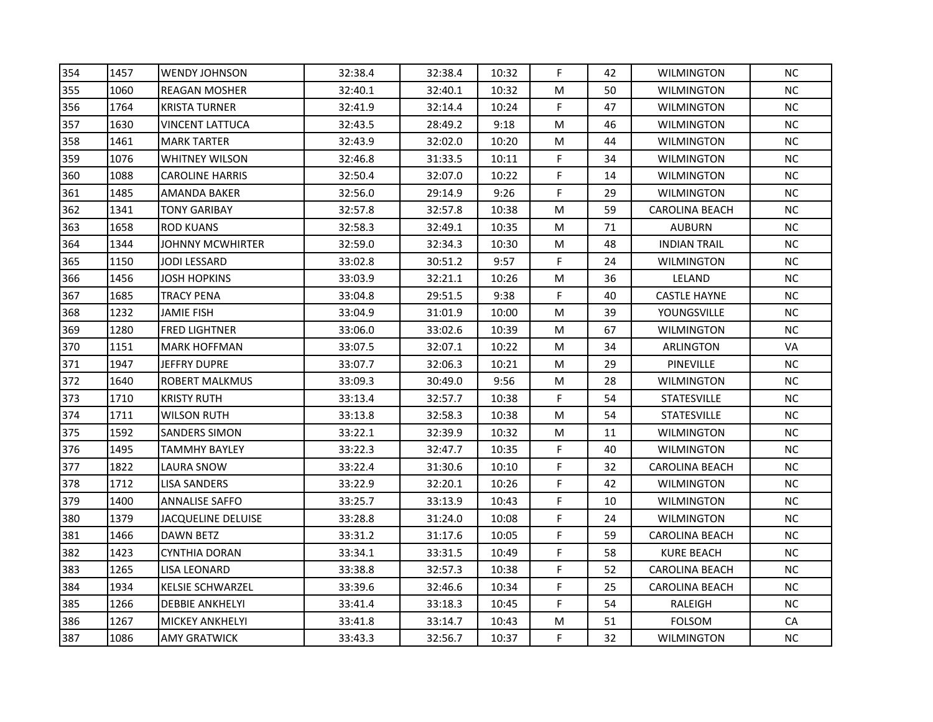| 354 | 1457 | <b>WENDY JOHNSON</b>    | 32:38.4 | 32:38.4 | 10:32 | F           | 42 | <b>WILMINGTON</b>     | <b>NC</b> |
|-----|------|-------------------------|---------|---------|-------|-------------|----|-----------------------|-----------|
| 355 | 1060 | <b>REAGAN MOSHER</b>    | 32:40.1 | 32:40.1 | 10:32 | M           | 50 | <b>WILMINGTON</b>     | <b>NC</b> |
| 356 | 1764 | <b>KRISTA TURNER</b>    | 32:41.9 | 32:14.4 | 10:24 | F           | 47 | <b>WILMINGTON</b>     | NC.       |
| 357 | 1630 | VINCENT LATTUCA         | 32:43.5 | 28:49.2 | 9:18  | M           | 46 | <b>WILMINGTON</b>     | NC        |
| 358 | 1461 | <b>MARK TARTER</b>      | 32:43.9 | 32:02.0 | 10:20 | M           | 44 | WILMINGTON            | <b>NC</b> |
| 359 | 1076 | <b>WHITNEY WILSON</b>   | 32:46.8 | 31:33.5 | 10:11 | F           | 34 | <b>WILMINGTON</b>     | <b>NC</b> |
| 360 | 1088 | <b>CAROLINE HARRIS</b>  | 32:50.4 | 32:07.0 | 10:22 | F           | 14 | <b>WILMINGTON</b>     | <b>NC</b> |
| 361 | 1485 | AMANDA BAKER            | 32:56.0 | 29:14.9 | 9:26  | F           | 29 | <b>WILMINGTON</b>     | <b>NC</b> |
| 362 | 1341 | <b>TONY GARIBAY</b>     | 32:57.8 | 32:57.8 | 10:38 | M           | 59 | <b>CAROLINA BEACH</b> | NC        |
| 363 | 1658 | <b>ROD KUANS</b>        | 32:58.3 | 32:49.1 | 10:35 | M           | 71 | <b>AUBURN</b>         | NC        |
| 364 | 1344 | JOHNNY MCWHIRTER        | 32:59.0 | 32:34.3 | 10:30 | M           | 48 | <b>INDIAN TRAIL</b>   | <b>NC</b> |
| 365 | 1150 | JODI LESSARD            | 33:02.8 | 30:51.2 | 9:57  | F           | 24 | <b>WILMINGTON</b>     | NC        |
| 366 | 1456 | JOSH HOPKINS            | 33:03.9 | 32:21.1 | 10:26 | M           | 36 | LELAND                | <b>NC</b> |
| 367 | 1685 | <b>TRACY PENA</b>       | 33:04.8 | 29:51.5 | 9:38  | F           | 40 | <b>CASTLE HAYNE</b>   | <b>NC</b> |
| 368 | 1232 | JAMIE FISH              | 33:04.9 | 31:01.9 | 10:00 | M           | 39 | YOUNGSVILLE           | <b>NC</b> |
| 369 | 1280 | <b>FRED LIGHTNER</b>    | 33:06.0 | 33:02.6 | 10:39 | M           | 67 | <b>WILMINGTON</b>     | <b>NC</b> |
| 370 | 1151 | <b>MARK HOFFMAN</b>     | 33:07.5 | 32:07.1 | 10:22 | M           | 34 | <b>ARLINGTON</b>      | VA        |
| 371 | 1947 | <b>JEFFRY DUPRE</b>     | 33:07.7 | 32:06.3 | 10:21 | M           | 29 | PINEVILLE             | <b>NC</b> |
| 372 | 1640 | <b>ROBERT MALKMUS</b>   | 33:09.3 | 30:49.0 | 9:56  | ${\sf M}$   | 28 | <b>WILMINGTON</b>     | NC        |
| 373 | 1710 | <b>KRISTY RUTH</b>      | 33:13.4 | 32:57.7 | 10:38 | F           | 54 | STATESVILLE           | NC        |
| 374 | 1711 | WILSON RUTH             | 33:13.8 | 32:58.3 | 10:38 | M           | 54 | <b>STATESVILLE</b>    | $NC$      |
| 375 | 1592 | <b>SANDERS SIMON</b>    | 33:22.1 | 32:39.9 | 10:32 | M           | 11 | <b>WILMINGTON</b>     | <b>NC</b> |
| 376 | 1495 | <b>TAMMHY BAYLEY</b>    | 33:22.3 | 32:47.7 | 10:35 | F           | 40 | <b>WILMINGTON</b>     | <b>NC</b> |
| 377 | 1822 | LAURA SNOW              | 33:22.4 | 31:30.6 | 10:10 | F           | 32 | CAROLINA BEACH        | <b>NC</b> |
| 378 | 1712 | LISA SANDERS            | 33:22.9 | 32:20.1 | 10:26 | F           | 42 | <b>WILMINGTON</b>     | NC        |
| 379 | 1400 | <b>ANNALISE SAFFO</b>   | 33:25.7 | 33:13.9 | 10:43 | $\mathsf F$ | 10 | <b>WILMINGTON</b>     | NC        |
| 380 | 1379 | JACQUELINE DELUISE      | 33:28.8 | 31:24.0 | 10:08 | F           | 24 | <b>WILMINGTON</b>     | <b>NC</b> |
| 381 | 1466 | <b>DAWN BETZ</b>        | 33:31.2 | 31:17.6 | 10:05 | F           | 59 | <b>CAROLINA BEACH</b> | NC        |
| 382 | 1423 | <b>CYNTHIA DORAN</b>    | 33:34.1 | 33:31.5 | 10:49 | F           | 58 | <b>KURE BEACH</b>     | <b>NC</b> |
| 383 | 1265 | LISA LEONARD            | 33:38.8 | 32:57.3 | 10:38 | F           | 52 | <b>CAROLINA BEACH</b> | NC        |
| 384 | 1934 | <b>KELSIE SCHWARZEL</b> | 33:39.6 | 32:46.6 | 10:34 | $\mathsf F$ | 25 | <b>CAROLINA BEACH</b> | NC        |
| 385 | 1266 | <b>DEBBIE ANKHELYI</b>  | 33:41.4 | 33:18.3 | 10:45 | F           | 54 | RALEIGH               | <b>NC</b> |
| 386 | 1267 | <b>MICKEY ANKHELYI</b>  | 33:41.8 | 33:14.7 | 10:43 | M           | 51 | FOLSOM                | CA        |
| 387 | 1086 | <b>AMY GRATWICK</b>     | 33:43.3 | 32:56.7 | 10:37 | F           | 32 | <b>WILMINGTON</b>     | NC        |
|     |      |                         |         |         |       |             |    |                       |           |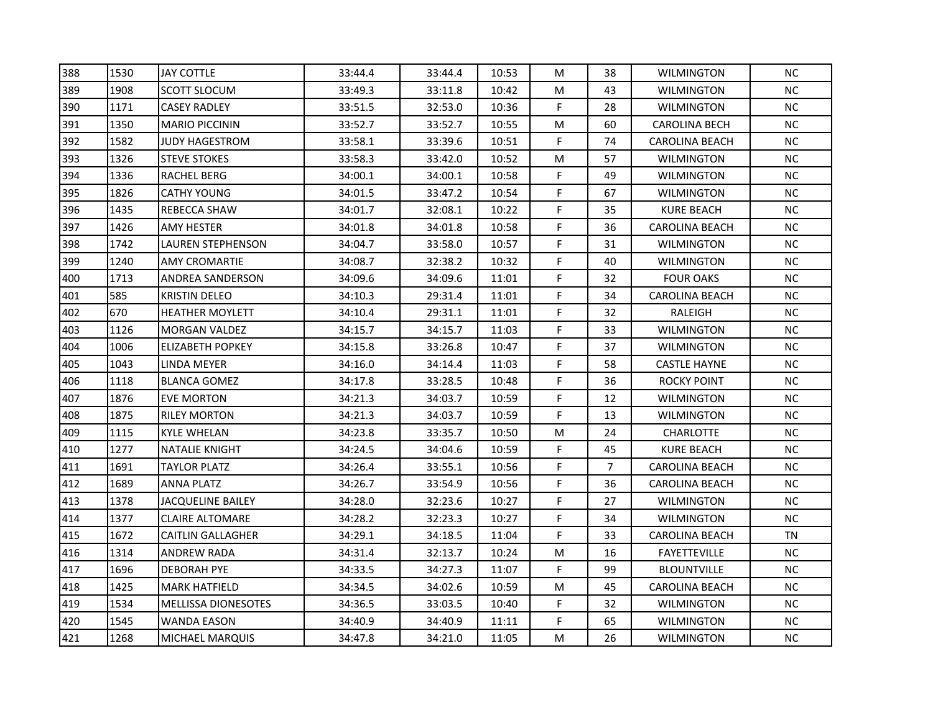| 388 | 1530 | <b>JAY COTTLE</b>          | 33:44.4 | 33:44.4 | 10:53 | M         | 38             | <b>WILMINGTON</b>     | <b>NC</b> |
|-----|------|----------------------------|---------|---------|-------|-----------|----------------|-----------------------|-----------|
| 389 | 1908 | <b>SCOTT SLOCUM</b>        | 33:49.3 | 33:11.8 | 10:42 | M         | 43             | <b>WILMINGTON</b>     | $NC$      |
| 390 | 1171 | <b>CASEY RADLEY</b>        | 33:51.5 | 32:53.0 | 10:36 | F         | 28             | <b>WILMINGTON</b>     | NC.       |
| 391 | 1350 | <b>MARIO PICCININ</b>      | 33:52.7 | 33:52.7 | 10:55 | M         | 60             | <b>CAROLINA BECH</b>  | NC        |
| 392 | 1582 | JUDY HAGESTROM             | 33:58.1 | 33:39.6 | 10:51 | F         | 74             | <b>CAROLINA BEACH</b> | <b>NC</b> |
| 393 | 1326 | <b>STEVE STOKES</b>        | 33:58.3 | 33:42.0 | 10:52 | M         | 57             | <b>WILMINGTON</b>     | <b>NC</b> |
| 394 | 1336 | RACHEL BERG                | 34:00.1 | 34:00.1 | 10:58 | F         | 49             | <b>WILMINGTON</b>     | <b>NC</b> |
| 395 | 1826 | <b>CATHY YOUNG</b>         | 34:01.5 | 33:47.2 | 10:54 | F         | 67             | <b>WILMINGTON</b>     | <b>NC</b> |
| 396 | 1435 | REBECCA SHAW               | 34:01.7 | 32:08.1 | 10:22 | F         | 35             | KURE BEACH            | NC        |
| 397 | 1426 | <b>AMY HESTER</b>          | 34:01.8 | 34:01.8 | 10:58 | F         | 36             | <b>CAROLINA BEACH</b> | NC        |
| 398 | 1742 | LAUREN STEPHENSON          | 34:04.7 | 33:58.0 | 10:57 | F         | 31             | <b>WILMINGTON</b>     | <b>NC</b> |
| 399 | 1240 | <b>AMY CROMARTIE</b>       | 34:08.7 | 32:38.2 | 10:32 | F         | 40             | <b>WILMINGTON</b>     | NC        |
| 400 | 1713 | ANDREA SANDERSON           | 34:09.6 | 34:09.6 | 11:01 | F         | 32             | <b>FOUR OAKS</b>      | <b>NC</b> |
| 401 | 585  | <b>KRISTIN DELEO</b>       | 34:10.3 | 29:31.4 | 11:01 | F         | 34             | <b>CAROLINA BEACH</b> | <b>NC</b> |
| 402 | 670  | <b>HEATHER MOYLETT</b>     | 34:10.4 | 29:31.1 | 11:01 | F         | 32             | RALEIGH               | <b>NC</b> |
| 403 | 1126 | MORGAN VALDEZ              | 34:15.7 | 34:15.7 | 11:03 | F         | 33             | <b>WILMINGTON</b>     | <b>NC</b> |
| 404 | 1006 | <b>ELIZABETH POPKEY</b>    | 34:15.8 | 33:26.8 | 10:47 | F         | 37             | <b>WILMINGTON</b>     | <b>NC</b> |
| 405 | 1043 | LINDA MEYER                | 34:16.0 | 34:14.4 | 11:03 | F         | 58             | <b>CASTLE HAYNE</b>   | <b>NC</b> |
| 406 | 1118 | <b>BLANCA GOMEZ</b>        | 34:17.8 | 33:28.5 | 10:48 | F         | 36             | <b>ROCKY POINT</b>    | NC        |
| 407 | 1876 | <b>EVE MORTON</b>          | 34:21.3 | 34:03.7 | 10:59 | F         | 12             | <b>WILMINGTON</b>     | NC        |
| 408 | 1875 | <b>RILEY MORTON</b>        | 34:21.3 | 34:03.7 | 10:59 | F         | 13             | WILMINGTON            | $NC$      |
| 409 | 1115 | <b>KYLE WHELAN</b>         | 34:23.8 | 33:35.7 | 10:50 | M         | 24             | <b>CHARLOTTE</b>      | <b>NC</b> |
| 410 | 1277 | <b>NATALIE KNIGHT</b>      | 34:24.5 | 34:04.6 | 10:59 | F         | 45             | <b>KURE BEACH</b>     | <b>NC</b> |
| 411 | 1691 | <b>TAYLOR PLATZ</b>        | 34:26.4 | 33:55.1 | 10:56 | F         | $\overline{7}$ | CAROLINA BEACH        | <b>NC</b> |
| 412 | 1689 | ANNA PLATZ                 | 34:26.7 | 33:54.9 | 10:56 | F         | 36             | <b>CAROLINA BEACH</b> | NC        |
| 413 | 1378 | <b>JACQUELINE BAILEY</b>   | 34:28.0 | 32:23.6 | 10:27 | F         | 27             | <b>WILMINGTON</b>     | NC        |
| 414 | 1377 | <b>CLAIRE ALTOMARE</b>     | 34:28.2 | 32:23.3 | 10:27 | F         | 34             | <b>WILMINGTON</b>     | <b>NC</b> |
| 415 | 1672 | <b>CAITLIN GALLAGHER</b>   | 34:29.1 | 34:18.5 | 11:04 | F         | 33             | <b>CAROLINA BEACH</b> | <b>TN</b> |
| 416 | 1314 | <b>ANDREW RADA</b>         | 34:31.4 | 32:13.7 | 10:24 | M         | 16             | <b>FAYETTEVILLE</b>   | <b>NC</b> |
| 417 | 1696 | <b>DEBORAH PYE</b>         | 34:33.5 | 34:27.3 | 11:07 | F         | 99             | <b>BLOUNTVILLE</b>    | NC        |
| 418 | 1425 | <b>MARK HATFIELD</b>       | 34:34.5 | 34:02.6 | 10:59 | ${\sf M}$ | 45             | <b>CAROLINA BEACH</b> | NC        |
| 419 | 1534 | <b>MELLISSA DIONESOTES</b> | 34:36.5 | 33:03.5 | 10:40 | F         | 32             | <b>WILMINGTON</b>     | <b>NC</b> |
| 420 | 1545 | <b>WANDA EASON</b>         | 34:40.9 | 34:40.9 | 11:11 | F         | 65             | <b>WILMINGTON</b>     | NC        |
| 421 | 1268 | <b>MICHAEL MARQUIS</b>     | 34:47.8 | 34:21.0 | 11:05 | M         | 26             | <b>WILMINGTON</b>     | NC        |
|     |      |                            |         |         |       |           |                |                       |           |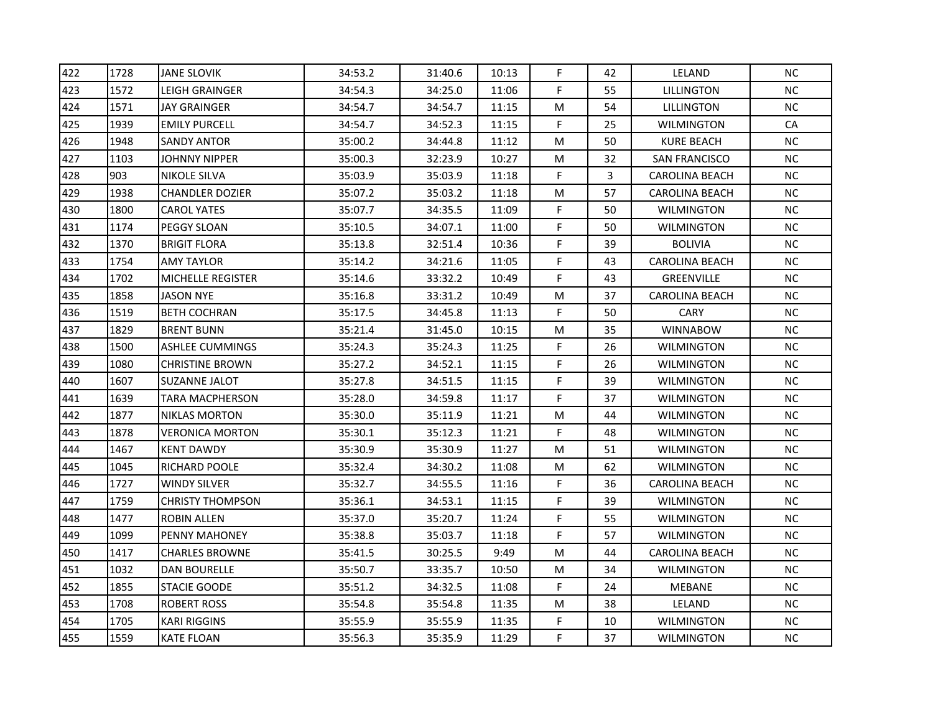| 422 | 1728 | <b>JANE SLOVIK</b>       | 34:53.2 | 31:40.6 | 10:13 | F           | 42 | LELAND                | <b>NC</b> |
|-----|------|--------------------------|---------|---------|-------|-------------|----|-----------------------|-----------|
| 423 | 1572 | LEIGH GRAINGER           | 34:54.3 | 34:25.0 | 11:06 | F           | 55 | <b>LILLINGTON</b>     | <b>NC</b> |
| 424 | 1571 | JAY GRAINGER             | 34:54.7 | 34:54.7 | 11:15 | M           | 54 | LILLINGTON            | NC.       |
| 425 | 1939 | <b>EMILY PURCELL</b>     | 34:54.7 | 34:52.3 | 11:15 | F.          | 25 | <b>WILMINGTON</b>     | <b>CA</b> |
| 426 | 1948 | <b>SANDY ANTOR</b>       | 35:00.2 | 34:44.8 | 11:12 | M           | 50 | <b>KURE BEACH</b>     | <b>NC</b> |
| 427 | 1103 | JOHNNY NIPPER            | 35:00.3 | 32:23.9 | 10:27 | M           | 32 | <b>SAN FRANCISCO</b>  | <b>NC</b> |
| 428 | 903  | <b>NIKOLE SILVA</b>      | 35:03.9 | 35:03.9 | 11:18 | F           | 3  | <b>CAROLINA BEACH</b> | <b>NC</b> |
| 429 | 1938 | <b>CHANDLER DOZIER</b>   | 35:07.2 | 35:03.2 | 11:18 | M           | 57 | <b>CAROLINA BEACH</b> | <b>NC</b> |
| 430 | 1800 | <b>CAROL YATES</b>       | 35:07.7 | 34:35.5 | 11:09 | F           | 50 | <b>WILMINGTON</b>     | NC        |
| 431 | 1174 | PEGGY SLOAN              | 35:10.5 | 34:07.1 | 11:00 | $\mathsf F$ | 50 | <b>WILMINGTON</b>     | NC        |
| 432 | 1370 | <b>BRIGIT FLORA</b>      | 35:13.8 | 32:51.4 | 10:36 | F           | 39 | <b>BOLIVIA</b>        | <b>NC</b> |
| 433 | 1754 | <b>AMY TAYLOR</b>        | 35:14.2 | 34:21.6 | 11:05 | F           | 43 | <b>CAROLINA BEACH</b> | NC        |
| 434 | 1702 | <b>MICHELLE REGISTER</b> | 35:14.6 | 33:32.2 | 10:49 | F           | 43 | <b>GREENVILLE</b>     | <b>NC</b> |
| 435 | 1858 | <b>JASON NYE</b>         | 35:16.8 | 33:31.2 | 10:49 | M           | 37 | CAROLINA BEACH        | <b>NC</b> |
| 436 | 1519 | <b>BETH COCHRAN</b>      | 35:17.5 | 34:45.8 | 11:13 | F           | 50 | CARY                  | <b>NC</b> |
| 437 | 1829 | <b>BRENT BUNN</b>        | 35:21.4 | 31:45.0 | 10:15 | M           | 35 | <b>WINNABOW</b>       | <b>NC</b> |
| 438 | 1500 | <b>ASHLEE CUMMINGS</b>   | 35:24.3 | 35:24.3 | 11:25 | F           | 26 | <b>WILMINGTON</b>     | <b>NC</b> |
| 439 | 1080 | <b>CHRISTINE BROWN</b>   | 35:27.2 | 34:52.1 | 11:15 | F           | 26 | <b>WILMINGTON</b>     | <b>NC</b> |
| 440 | 1607 | <b>SUZANNE JALOT</b>     | 35:27.8 | 34:51.5 | 11:15 | F           | 39 | <b>WILMINGTON</b>     | NC        |
| 441 | 1639 | TARA MACPHERSON          | 35:28.0 | 34:59.8 | 11:17 | F           | 37 | <b>WILMINGTON</b>     | NC        |
| 442 | 1877 | <b>NIKLAS MORTON</b>     | 35:30.0 | 35:11.9 | 11:21 | M           | 44 | WILMINGTON            | <b>NC</b> |
| 443 | 1878 | <b>VERONICA MORTON</b>   | 35:30.1 | 35:12.3 | 11:21 | F           | 48 | <b>WILMINGTON</b>     | <b>NC</b> |
| 444 | 1467 | <b>KENT DAWDY</b>        | 35:30.9 | 35:30.9 | 11:27 | M           | 51 | <b>WILMINGTON</b>     | <b>NC</b> |
| 445 | 1045 | <b>RICHARD POOLE</b>     | 35:32.4 | 34:30.2 | 11:08 | M           | 62 | <b>WILMINGTON</b>     | <b>NC</b> |
| 446 | 1727 | <b>WINDY SILVER</b>      | 35:32.7 | 34:55.5 | 11:16 | F           | 36 | <b>CAROLINA BEACH</b> | NC        |
| 447 | 1759 | <b>CHRISTY THOMPSON</b>  | 35:36.1 | 34:53.1 | 11:15 | F           | 39 | <b>WILMINGTON</b>     | NC        |
| 448 | 1477 | <b>ROBIN ALLEN</b>       | 35:37.0 | 35:20.7 | 11:24 | F           | 55 | WILMINGTON            | NC.       |
| 449 | 1099 | PENNY MAHONEY            | 35:38.8 | 35:03.7 | 11:18 | F           | 57 | <b>WILMINGTON</b>     | NC        |
| 450 | 1417 | <b>CHARLES BROWNE</b>    | 35:41.5 | 30:25.5 | 9:49  | M           | 44 | <b>CAROLINA BEACH</b> | <b>NC</b> |
| 451 | 1032 | <b>DAN BOURELLE</b>      | 35:50.7 | 33:35.7 | 10:50 | M           | 34 | <b>WILMINGTON</b>     | NC        |
| 452 | 1855 | <b>STACIE GOODE</b>      | 35:51.2 | 34:32.5 | 11:08 | $\mathsf F$ | 24 | MEBANE                | NC        |
| 453 | 1708 | <b>ROBERT ROSS</b>       | 35:54.8 | 35:54.8 | 11:35 | M           | 38 | LELAND                | <b>NC</b> |
| 454 | 1705 | <b>KARI RIGGINS</b>      | 35:55.9 | 35:55.9 | 11:35 | F           | 10 | <b>WILMINGTON</b>     | NC.       |
| 455 | 1559 | <b>KATE FLOAN</b>        | 35:56.3 | 35:35.9 | 11:29 | F           | 37 | <b>WILMINGTON</b>     | NC        |
|     |      |                          |         |         |       |             |    |                       |           |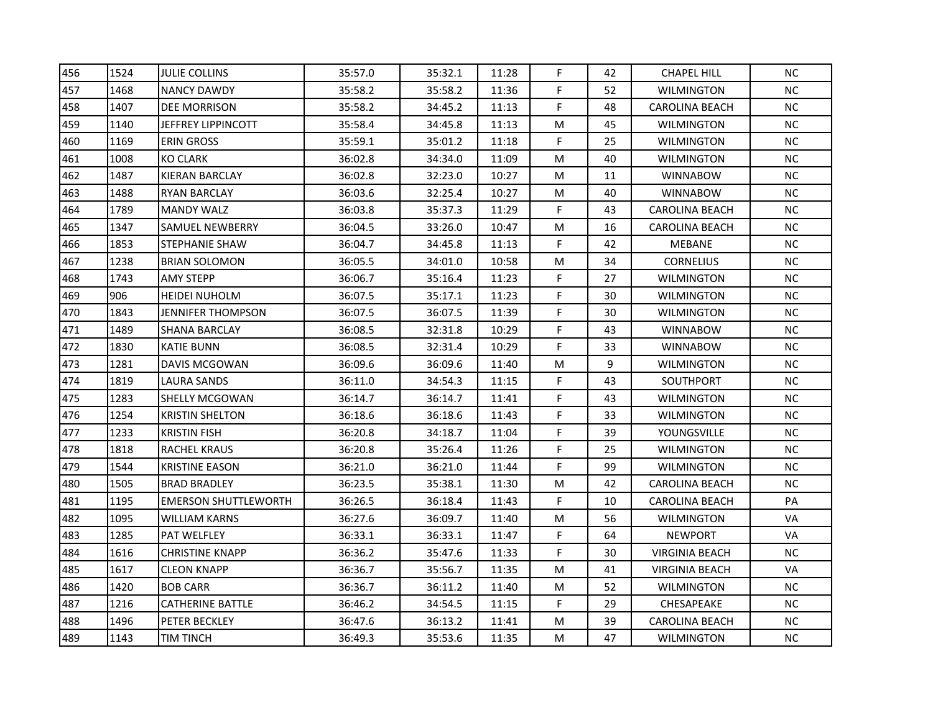| 456 | 1524 | <b>JULIE COLLINS</b>        | 35:57.0 | 35:32.1 | 11:28 | F | 42 | <b>CHAPEL HILL</b>    | <b>NC</b> |
|-----|------|-----------------------------|---------|---------|-------|---|----|-----------------------|-----------|
| 457 | 1468 | <b>NANCY DAWDY</b>          | 35:58.2 | 35:58.2 | 11:36 | F | 52 | <b>WILMINGTON</b>     | <b>NC</b> |
| 458 | 1407 | <b>DEE MORRISON</b>         | 35:58.2 | 34:45.2 | 11:13 | F | 48 | CAROLINA BEACH        | NC.       |
| 459 | 1140 | JEFFREY LIPPINCOTT          | 35:58.4 | 34:45.8 | 11:13 | M | 45 | <b>WILMINGTON</b>     | NC        |
| 460 | 1169 | ERIN GROSS                  | 35:59.1 | 35:01.2 | 11:18 | F | 25 | WILMINGTON            | <b>NC</b> |
| 461 | 1008 | KO CLARK                    | 36:02.8 | 34:34.0 | 11:09 | M | 40 | <b>WILMINGTON</b>     | <b>NC</b> |
| 462 | 1487 | <b>KIERAN BARCLAY</b>       | 36:02.8 | 32:23.0 | 10:27 | M | 11 | <b>WINNABOW</b>       | <b>NC</b> |
| 463 | 1488 | <b>RYAN BARCLAY</b>         | 36:03.6 | 32:25.4 | 10:27 | M | 40 | <b>WINNABOW</b>       | <b>NC</b> |
| 464 | 1789 | <b>MANDY WALZ</b>           | 36:03.8 | 35:37.3 | 11:29 | F | 43 | <b>CAROLINA BEACH</b> | NC        |
| 465 | 1347 | <b>SAMUEL NEWBERRY</b>      | 36:04.5 | 33:26.0 | 10:47 | M | 16 | <b>CAROLINA BEACH</b> | NC        |
| 466 | 1853 | STEPHANIE SHAW              | 36:04.7 | 34:45.8 | 11:13 | F | 42 | MEBANE                | <b>NC</b> |
| 467 | 1238 | <b>BRIAN SOLOMON</b>        | 36:05.5 | 34:01.0 | 10:58 | M | 34 | <b>CORNELIUS</b>      | NC        |
| 468 | 1743 | <b>AMY STEPP</b>            | 36:06.7 | 35:16.4 | 11:23 | F | 27 | <b>WILMINGTON</b>     | <b>NC</b> |
| 469 | 906  | <b>HEIDEI NUHOLM</b>        | 36:07.5 | 35:17.1 | 11:23 | F | 30 | <b>WILMINGTON</b>     | <b>NC</b> |
| 470 | 1843 | JENNIFER THOMPSON           | 36:07.5 | 36:07.5 | 11:39 | F | 30 | WILMINGTON            | <b>NC</b> |
| 471 | 1489 | SHANA BARCLAY               | 36:08.5 | 32:31.8 | 10:29 | F | 43 | <b>WINNABOW</b>       | <b>NC</b> |
| 472 | 1830 | <b>KATIE BUNN</b>           | 36:08.5 | 32:31.4 | 10:29 | F | 33 | <b>WINNABOW</b>       | <b>NC</b> |
| 473 | 1281 | DAVIS MCGOWAN               | 36:09.6 | 36:09.6 | 11:40 | M | 9  | <b>WILMINGTON</b>     | <b>NC</b> |
| 474 | 1819 | LAURA SANDS                 | 36:11.0 | 34:54.3 | 11:15 | F | 43 | SOUTHPORT             | NC        |
| 475 | 1283 | SHELLY MCGOWAN              | 36:14.7 | 36:14.7 | 11:41 | F | 43 | <b>WILMINGTON</b>     | NC        |
| 476 | 1254 | <b>KRISTIN SHELTON</b>      | 36:18.6 | 36:18.6 | 11:43 | F | 33 | WILMINGTON            | <b>NC</b> |
| 477 | 1233 | <b>KRISTIN FISH</b>         | 36:20.8 | 34:18.7 | 11:04 | F | 39 | YOUNGSVILLE           | <b>NC</b> |
| 478 | 1818 | <b>RACHEL KRAUS</b>         | 36:20.8 | 35:26.4 | 11:26 | F | 25 | <b>WILMINGTON</b>     | <b>NC</b> |
| 479 | 1544 | <b>KRISTINE EASON</b>       | 36:21.0 | 36:21.0 | 11:44 | F | 99 | <b>WILMINGTON</b>     | <b>NC</b> |
| 480 | 1505 | <b>BRAD BRADLEY</b>         | 36:23.5 | 35:38.1 | 11:30 | M | 42 | <b>CAROLINA BEACH</b> | NC        |
| 481 | 1195 | <b>EMERSON SHUTTLEWORTH</b> | 36:26.5 | 36:18.4 | 11:43 | F | 10 | <b>CAROLINA BEACH</b> | PA        |
| 482 | 1095 | WILLIAM KARNS               | 36:27.6 | 36:09.7 | 11:40 | M | 56 | WILMINGTON            | VA        |
| 483 | 1285 | <b>PAT WELFLEY</b>          | 36:33.1 | 36:33.1 | 11:47 | F | 64 | <b>NEWPORT</b>        | VA        |
| 484 | 1616 | <b>CHRISTINE KNAPP</b>      | 36:36.2 | 35:47.6 | 11:33 | F | 30 | <b>VIRGINIA BEACH</b> | <b>NC</b> |
| 485 | 1617 | <b>CLEON KNAPP</b>          | 36:36.7 | 35:56.7 | 11:35 | M | 41 | <b>VIRGINIA BEACH</b> | VA        |
| 486 | 1420 | <b>BOB CARR</b>             | 36:36.7 | 36:11.2 | 11:40 | M | 52 | <b>WILMINGTON</b>     | NC        |
| 487 | 1216 | <b>CATHERINE BATTLE</b>     | 36:46.2 | 34:54.5 | 11:15 | F | 29 | CHESAPEAKE            | <b>NC</b> |
| 488 | 1496 | PETER BECKLEY               | 36:47.6 | 36:13.2 | 11:41 | M | 39 | <b>CAROLINA BEACH</b> | NC.       |
| 489 | 1143 | TIM TINCH                   | 36:49.3 | 35:53.6 | 11:35 | M | 47 | <b>WILMINGTON</b>     | NC        |
|     |      |                             |         |         |       |   |    |                       |           |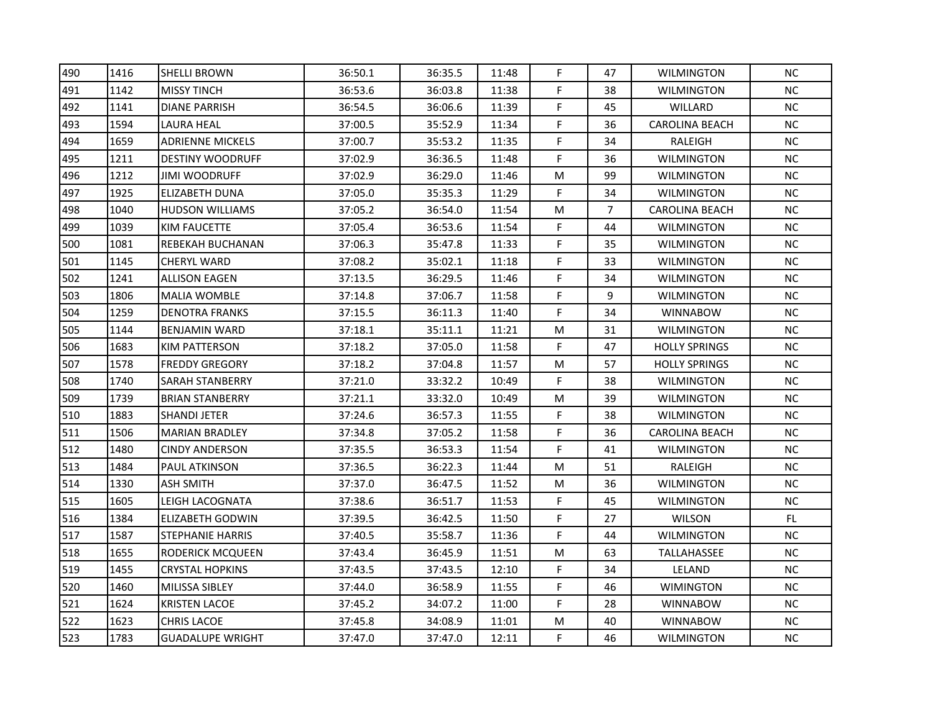| 490 | 1416 | <b>SHELLI BROWN</b>     | 36:50.1 | 36:35.5 | 11:48 | F           | 47             | <b>WILMINGTON</b>     | <b>NC</b> |
|-----|------|-------------------------|---------|---------|-------|-------------|----------------|-----------------------|-----------|
| 491 | 1142 | <b>MISSY TINCH</b>      | 36:53.6 | 36:03.8 | 11:38 | F           | 38             | <b>WILMINGTON</b>     | <b>NC</b> |
| 492 | 1141 | <b>DIANE PARRISH</b>    | 36:54.5 | 36:06.6 | 11:39 | F.          | 45             | WILLARD               | NC.       |
| 493 | 1594 | LAURA HEAL              | 37:00.5 | 35:52.9 | 11:34 | F           | 36             | <b>CAROLINA BEACH</b> | NC        |
| 494 | 1659 | <b>ADRIENNE MICKELS</b> | 37:00.7 | 35:53.2 | 11:35 | F           | 34             | RALEIGH               | <b>NC</b> |
| 495 | 1211 | <b>DESTINY WOODRUFF</b> | 37:02.9 | 36:36.5 | 11:48 | F           | 36             | <b>WILMINGTON</b>     | <b>NC</b> |
| 496 | 1212 | <b>JIMI WOODRUFF</b>    | 37:02.9 | 36:29.0 | 11:46 | M           | 99             | <b>WILMINGTON</b>     | <b>NC</b> |
| 497 | 1925 | ELIZABETH DUNA          | 37:05.0 | 35:35.3 | 11:29 | F           | 34             | <b>WILMINGTON</b>     | <b>NC</b> |
| 498 | 1040 | <b>HUDSON WILLIAMS</b>  | 37:05.2 | 36:54.0 | 11:54 | M           | $\overline{7}$ | <b>CAROLINA BEACH</b> | NC        |
| 499 | 1039 | <b>KIM FAUCETTE</b>     | 37:05.4 | 36:53.6 | 11:54 | F           | 44             | <b>WILMINGTON</b>     | NC        |
| 500 | 1081 | REBEKAH BUCHANAN        | 37:06.3 | 35:47.8 | 11:33 | F           | 35             | <b>WILMINGTON</b>     | <b>NC</b> |
| 501 | 1145 | <b>CHERYL WARD</b>      | 37:08.2 | 35:02.1 | 11:18 | F           | 33             | <b>WILMINGTON</b>     | NC        |
| 502 | 1241 | <b>ALLISON EAGEN</b>    | 37:13.5 | 36:29.5 | 11:46 | F           | 34             | <b>WILMINGTON</b>     | <b>NC</b> |
| 503 | 1806 | <b>MALIA WOMBLE</b>     | 37:14.8 | 37:06.7 | 11:58 | F           | 9              | <b>WILMINGTON</b>     | <b>NC</b> |
| 504 | 1259 | <b>DENOTRA FRANKS</b>   | 37:15.5 | 36:11.3 | 11:40 | F           | 34             | <b>WINNABOW</b>       | <b>NC</b> |
| 505 | 1144 | <b>BENJAMIN WARD</b>    | 37:18.1 | 35:11.1 | 11:21 | M           | 31             | WILMINGTON            | <b>NC</b> |
| 506 | 1683 | <b>KIM PATTERSON</b>    | 37:18.2 | 37:05.0 | 11:58 | F           | 47             | <b>HOLLY SPRINGS</b>  | <b>NC</b> |
| 507 | 1578 | <b>FREDDY GREGORY</b>   | 37:18.2 | 37:04.8 | 11:57 | M           | 57             | <b>HOLLY SPRINGS</b>  | <b>NC</b> |
| 508 | 1740 | SARAH STANBERRY         | 37:21.0 | 33:32.2 | 10:49 | F           | 38             | <b>WILMINGTON</b>     | NC        |
| 509 | 1739 | <b>BRIAN STANBERRY</b>  | 37:21.1 | 33:32.0 | 10:49 | M           | 39             | <b>WILMINGTON</b>     | NC        |
| 510 | 1883 | SHANDI JETER            | 37:24.6 | 36:57.3 | 11:55 | F           | 38             | WILMINGTON            | <b>NC</b> |
| 511 | 1506 | <b>MARIAN BRADLEY</b>   | 37:34.8 | 37:05.2 | 11:58 | F           | 36             | <b>CAROLINA BEACH</b> | <b>NC</b> |
| 512 | 1480 | <b>CINDY ANDERSON</b>   | 37:35.5 | 36:53.3 | 11:54 | F           | 41             | <b>WILMINGTON</b>     | <b>NC</b> |
| 513 | 1484 | PAUL ATKINSON           | 37:36.5 | 36:22.3 | 11:44 | M           | 51             | RALEIGH               | <b>NC</b> |
| 514 | 1330 | ASH SMITH               | 37:37.0 | 36:47.5 | 11:52 | M           | 36             | <b>WILMINGTON</b>     | NC        |
| 515 | 1605 | LEIGH LACOGNATA         | 37:38.6 | 36:51.7 | 11:53 | F           | 45             | <b>WILMINGTON</b>     | NC        |
| 516 | 1384 | ELIZABETH GODWIN        | 37:39.5 | 36:42.5 | 11:50 | F           | 27             | <b>WILSON</b>         | FL.       |
| 517 | 1587 | <b>STEPHANIE HARRIS</b> | 37:40.5 | 35:58.7 | 11:36 | F           | 44             | <b>WILMINGTON</b>     | NC        |
| 518 | 1655 | RODERICK MCQUEEN        | 37:43.4 | 36:45.9 | 11:51 | M           | 63             | TALLAHASSEE           | <b>NC</b> |
| 519 | 1455 | <b>CRYSTAL HOPKINS</b>  | 37:43.5 | 37:43.5 | 12:10 | F           | 34             | LELAND                | NC        |
| 520 | 1460 | MILISSA SIBLEY          | 37:44.0 | 36:58.9 | 11:55 | $\mathsf F$ | 46             | <b>WIMINGTON</b>      | NC        |
| 521 | 1624 | <b>KRISTEN LACOE</b>    | 37:45.2 | 34:07.2 | 11:00 | F           | 28             | <b>WINNABOW</b>       | <b>NC</b> |
| 522 | 1623 | <b>CHRIS LACOE</b>      | 37:45.8 | 34:08.9 | 11:01 | M           | 40             | <b>WINNABOW</b>       | NC.       |
| 523 | 1783 | <b>GUADALUPE WRIGHT</b> | 37:47.0 | 37:47.0 | 12:11 | F           | 46             | <b>WILMINGTON</b>     | NC        |
|     |      |                         |         |         |       |             |                |                       |           |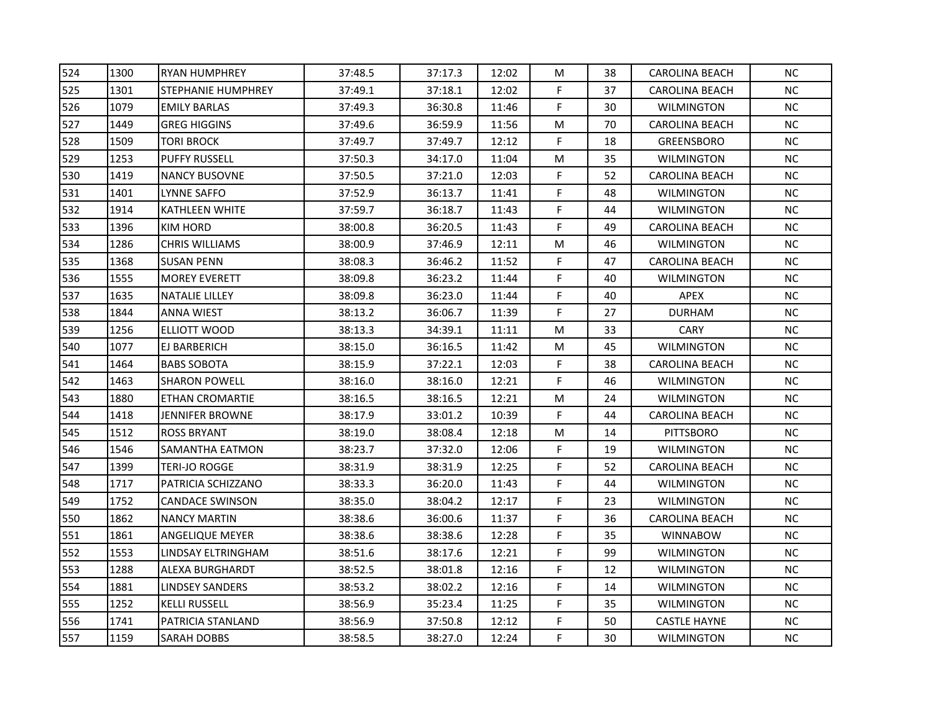| 524 | 1300 | <b>RYAN HUMPHREY</b>   | 37:48.5 | 37:17.3 | 12:02 | M | 38 | <b>CAROLINA BEACH</b> | <b>NC</b> |
|-----|------|------------------------|---------|---------|-------|---|----|-----------------------|-----------|
| 525 | 1301 | STEPHANIE HUMPHREY     | 37:49.1 | 37:18.1 | 12:02 | F | 37 | <b>CAROLINA BEACH</b> | <b>NC</b> |
| 526 | 1079 | <b>EMILY BARLAS</b>    | 37:49.3 | 36:30.8 | 11:46 | F | 30 | <b>WILMINGTON</b>     | NC.       |
| 527 | 1449 | <b>GREG HIGGINS</b>    | 37:49.6 | 36:59.9 | 11:56 | M | 70 | <b>CAROLINA BEACH</b> | NC        |
| 528 | 1509 | tori brock             | 37:49.7 | 37:49.7 | 12:12 | F | 18 | <b>GREENSBORO</b>     | <b>NC</b> |
| 529 | 1253 | <b>PUFFY RUSSELL</b>   | 37:50.3 | 34:17.0 | 11:04 | M | 35 | <b>WILMINGTON</b>     | <b>NC</b> |
| 530 | 1419 | <b>NANCY BUSOVNE</b>   | 37:50.5 | 37:21.0 | 12:03 | F | 52 | <b>CAROLINA BEACH</b> | <b>NC</b> |
| 531 | 1401 | LYNNE SAFFO            | 37:52.9 | 36:13.7 | 11:41 | F | 48 | <b>WILMINGTON</b>     | <b>NC</b> |
| 532 | 1914 | <b>KATHLEEN WHITE</b>  | 37:59.7 | 36:18.7 | 11:43 | F | 44 | <b>WILMINGTON</b>     | <b>NC</b> |
| 533 | 1396 | KIM HORD               | 38:00.8 | 36:20.5 | 11:43 | F | 49 | <b>CAROLINA BEACH</b> | NC        |
| 534 | 1286 | <b>CHRIS WILLIAMS</b>  | 38:00.9 | 37:46.9 | 12:11 | M | 46 | <b>WILMINGTON</b>     | <b>NC</b> |
| 535 | 1368 | <b>SUSAN PENN</b>      | 38:08.3 | 36:46.2 | 11:52 | F | 47 | <b>CAROLINA BEACH</b> | NC        |
| 536 | 1555 | <b>MOREY EVERETT</b>   | 38:09.8 | 36:23.2 | 11:44 | F | 40 | <b>WILMINGTON</b>     | <b>NC</b> |
| 537 | 1635 | <b>NATALIE LILLEY</b>  | 38:09.8 | 36:23.0 | 11:44 | F | 40 | APEX                  | <b>NC</b> |
| 538 | 1844 | ANNA WIEST             | 38:13.2 | 36:06.7 | 11:39 | F | 27 | <b>DURHAM</b>         | <b>NC</b> |
| 539 | 1256 | ELLIOTT WOOD           | 38:13.3 | 34:39.1 | 11:11 | M | 33 | <b>CARY</b>           | <b>NC</b> |
| 540 | 1077 | EJ BARBERICH           | 38:15.0 | 36:16.5 | 11:42 | M | 45 | <b>WILMINGTON</b>     | <b>NC</b> |
| 541 | 1464 | <b>BABS SOBOTA</b>     | 38:15.9 | 37:22.1 | 12:03 | F | 38 | <b>CAROLINA BEACH</b> | <b>NC</b> |
| 542 | 1463 | <b>SHARON POWELL</b>   | 38:16.0 | 38:16.0 | 12:21 | F | 46 | <b>WILMINGTON</b>     | NC        |
| 543 | 1880 | ETHAN CROMARTIE        | 38:16.5 | 38:16.5 | 12:21 | M | 24 | <b>WILMINGTON</b>     | NC        |
| 544 | 1418 | JENNIFER BROWNE        | 38:17.9 | 33:01.2 | 10:39 | F | 44 | CAROLINA BEACH        | <b>NC</b> |
| 545 | 1512 | <b>ROSS BRYANT</b>     | 38:19.0 | 38:08.4 | 12:18 | M | 14 | <b>PITTSBORO</b>      | <b>NC</b> |
| 546 | 1546 | SAMANTHA EATMON        | 38:23.7 | 37:32.0 | 12:06 | F | 19 | <b>WILMINGTON</b>     | <b>NC</b> |
| 547 | 1399 | TERI-JO ROGGE          | 38:31.9 | 38:31.9 | 12:25 | F | 52 | <b>CAROLINA BEACH</b> | <b>NC</b> |
| 548 | 1717 | PATRICIA SCHIZZANO     | 38:33.3 | 36:20.0 | 11:43 | F | 44 | <b>WILMINGTON</b>     | NC        |
| 549 | 1752 | CANDACE SWINSON        | 38:35.0 | 38:04.2 | 12:17 | F | 23 | <b>WILMINGTON</b>     | <b>NC</b> |
| 550 | 1862 | <b>NANCY MARTIN</b>    | 38:38.6 | 36:00.6 | 11:37 | F | 36 | CAROLINA BEACH        | <b>NC</b> |
| 551 | 1861 | <b>ANGELIQUE MEYER</b> | 38:38.6 | 38:38.6 | 12:28 | F | 35 | <b>WINNABOW</b>       | <b>NC</b> |
| 552 | 1553 | LINDSAY ELTRINGHAM     | 38:51.6 | 38:17.6 | 12:21 | F | 99 | <b>WILMINGTON</b>     | <b>NC</b> |
| 553 | 1288 | ALEXA BURGHARDT        | 38:52.5 | 38:01.8 | 12:16 | F | 12 | <b>WILMINGTON</b>     | <b>NC</b> |
| 554 | 1881 | <b>LINDSEY SANDERS</b> | 38:53.2 | 38:02.2 | 12:16 | F | 14 | <b>WILMINGTON</b>     | NC        |
| 555 | 1252 | <b>KELLI RUSSELL</b>   | 38:56.9 | 35:23.4 | 11:25 | F | 35 | <b>WILMINGTON</b>     | NC.       |
| 556 | 1741 | PATRICIA STANLAND      | 38:56.9 | 37:50.8 | 12:12 | F | 50 | <b>CASTLE HAYNE</b>   | NC.       |
| 557 | 1159 | <b>SARAH DOBBS</b>     | 38:58.5 | 38:27.0 | 12:24 | F | 30 | <b>WILMINGTON</b>     | NC        |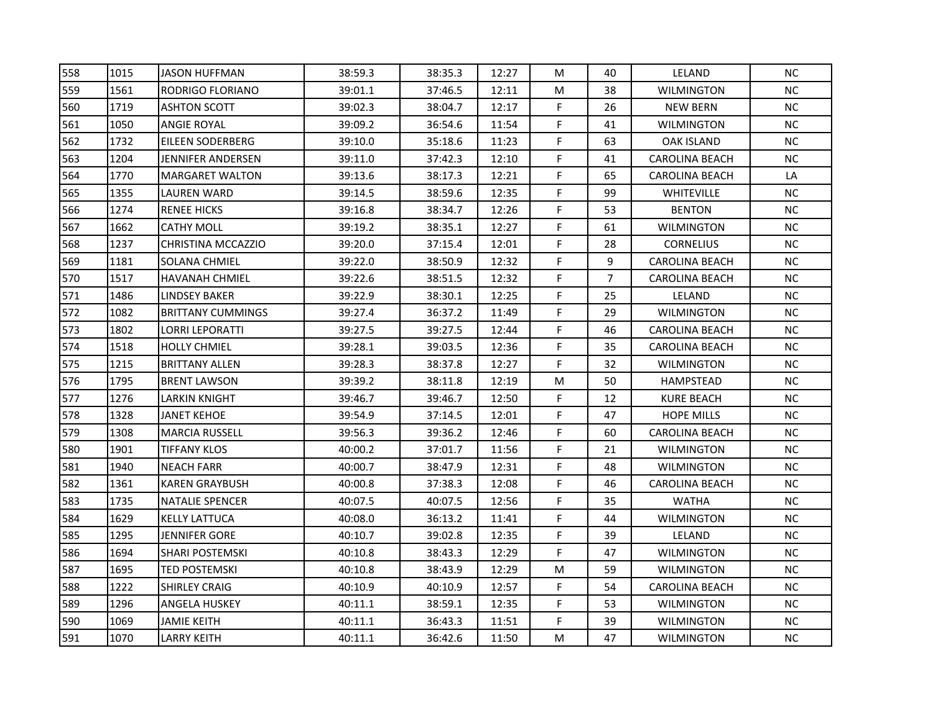| 558 | 1015 | <b>JASON HUFFMAN</b>     | 38:59.3 | 38:35.3 | 12:27 | M           | 40             | LELAND                | <b>NC</b> |
|-----|------|--------------------------|---------|---------|-------|-------------|----------------|-----------------------|-----------|
| 559 | 1561 | RODRIGO FLORIANO         | 39:01.1 | 37:46.5 | 12:11 | M           | 38             | <b>WILMINGTON</b>     | NC.       |
| 560 | 1719 | <b>ASHTON SCOTT</b>      | 39:02.3 | 38:04.7 | 12:17 | F           | 26             | <b>NEW BERN</b>       | <b>NC</b> |
| 561 | 1050 | ANGIE ROYAL              | 39:09.2 | 36:54.6 | 11:54 | F           | 41             | <b>WILMINGTON</b>     | <b>NC</b> |
| 562 | 1732 | <b>EILEEN SODERBERG</b>  | 39:10.0 | 35:18.6 | 11:23 | F           | 63             | OAK ISLAND            | NC        |
| 563 | 1204 | JENNIFER ANDERSEN        | 39:11.0 | 37:42.3 | 12:10 | F           | 41             | <b>CAROLINA BEACH</b> | <b>NC</b> |
| 564 | 1770 | <b>MARGARET WALTON</b>   | 39:13.6 | 38:17.3 | 12:21 | F           | 65             | <b>CAROLINA BEACH</b> | LA        |
| 565 | 1355 | LAUREN WARD              | 39:14.5 | 38:59.6 | 12:35 | F           | 99             | <b>WHITEVILLE</b>     | <b>NC</b> |
| 566 | 1274 | <b>RENEE HICKS</b>       | 39:16.8 | 38:34.7 | 12:26 | F           | 53             | <b>BENTON</b>         | NC        |
| 567 | 1662 | <b>CATHY MOLL</b>        | 39:19.2 | 38:35.1 | 12:27 | F           | 61             | <b>WILMINGTON</b>     | <b>NC</b> |
| 568 | 1237 | CHRISTINA MCCAZZIO       | 39:20.0 | 37:15.4 | 12:01 | F           | 28             | <b>CORNELIUS</b>      | <b>NC</b> |
| 569 | 1181 | SOLANA CHMIEL            | 39:22.0 | 38:50.9 | 12:32 | F           | 9              | <b>CAROLINA BEACH</b> | <b>NC</b> |
| 570 | 1517 | <b>HAVANAH CHMIEL</b>    | 39:22.6 | 38:51.5 | 12:32 | F           | $\overline{7}$ | <b>CAROLINA BEACH</b> | <b>NC</b> |
| 571 | 1486 | LINDSEY BAKER            | 39:22.9 | 38:30.1 | 12:25 | F.          | 25             | LELAND                | <b>NC</b> |
| 572 | 1082 | <b>BRITTANY CUMMINGS</b> | 39:27.4 | 36:37.2 | 11:49 | F           | 29             | <b>WILMINGTON</b>     | <b>NC</b> |
| 573 | 1802 | LORRI LEPORATTI          | 39:27.5 | 39:27.5 | 12:44 | F           | 46             | CAROLINA BEACH        | <b>NC</b> |
| 574 | 1518 | <b>HOLLY CHMIEL</b>      | 39:28.1 | 39:03.5 | 12:36 | F           | 35             | <b>CAROLINA BEACH</b> | <b>NC</b> |
| 575 | 1215 | <b>BRITTANY ALLEN</b>    | 39:28.3 | 38:37.8 | 12:27 | $\mathsf F$ | 32             | <b>WILMINGTON</b>     | NC        |
| 576 | 1795 | <b>BRENT LAWSON</b>      | 39:39.2 | 38:11.8 | 12:19 | M           | 50             | HAMPSTEAD             | <b>NC</b> |
| 577 | 1276 | LARKIN KNIGHT            | 39:46.7 | 39:46.7 | 12:50 | F           | 12             | KURE BEACH            | NC        |
| 578 | 1328 | JANET KEHOE              | 39:54.9 | 37:14.5 | 12:01 | F           | 47             | <b>HOPE MILLS</b>     | <b>NC</b> |
| 579 | 1308 | <b>MARCIA RUSSELL</b>    | 39:56.3 | 39:36.2 | 12:46 | F           | 60             | CAROLINA BEACH        | NC.       |
| 580 | 1901 | <b>TIFFANY KLOS</b>      | 40:00.2 | 37:01.7 | 11:56 | F           | 21             | <b>WILMINGTON</b>     | <b>NC</b> |
| 581 | 1940 | <b>NEACH FARR</b>        | 40:00.7 | 38:47.9 | 12:31 | F           | 48             | <b>WILMINGTON</b>     | <b>NC</b> |
| 582 | 1361 | <b>KAREN GRAYBUSH</b>    | 40:00.8 | 37:38.3 | 12:08 | F.          | 46             | <b>CAROLINA BEACH</b> | <b>NC</b> |
| 583 | 1735 | <b>NATALIE SPENCER</b>   | 40:07.5 | 40:07.5 | 12:56 | F           | 35             | <b>WATHA</b>          | NC        |
| 584 | 1629 | <b>KELLY LATTUCA</b>     | 40:08.0 | 36:13.2 | 11:41 | F           | 44             | <b>WILMINGTON</b>     | <b>NC</b> |
| 585 | 1295 | JENNIFER GORE            | 40:10.7 | 39:02.8 | 12:35 | F           | 39             | <b>LELAND</b>         | <b>NC</b> |
| 586 | 1694 | <b>SHARI POSTEMSKI</b>   | 40:10.8 | 38:43.3 | 12:29 | F           | 47             | <b>WILMINGTON</b>     | <b>NC</b> |
| 587 | 1695 | <b>TED POSTEMSKI</b>     | 40:10.8 | 38:43.9 | 12:29 | M           | 59             | <b>WILMINGTON</b>     | NC        |
| 588 | 1222 | <b>SHIRLEY CRAIG</b>     | 40:10.9 | 40:10.9 | 12:57 | F           | 54             | <b>CAROLINA BEACH</b> | NC        |
| 589 | 1296 | ANGELA HUSKEY            | 40:11.1 | 38:59.1 | 12:35 | F           | 53             | <b>WILMINGTON</b>     | <b>NC</b> |
| 590 | 1069 | JAMIE KEITH              | 40:11.1 | 36:43.3 | 11:51 | F           | 39             | <b>WILMINGTON</b>     | NC.       |
| 591 | 1070 | <b>LARRY KEITH</b>       | 40:11.1 | 36:42.6 | 11:50 | M           | 47             | <b>WILMINGTON</b>     | NC        |
|     |      |                          |         |         |       |             |                |                       |           |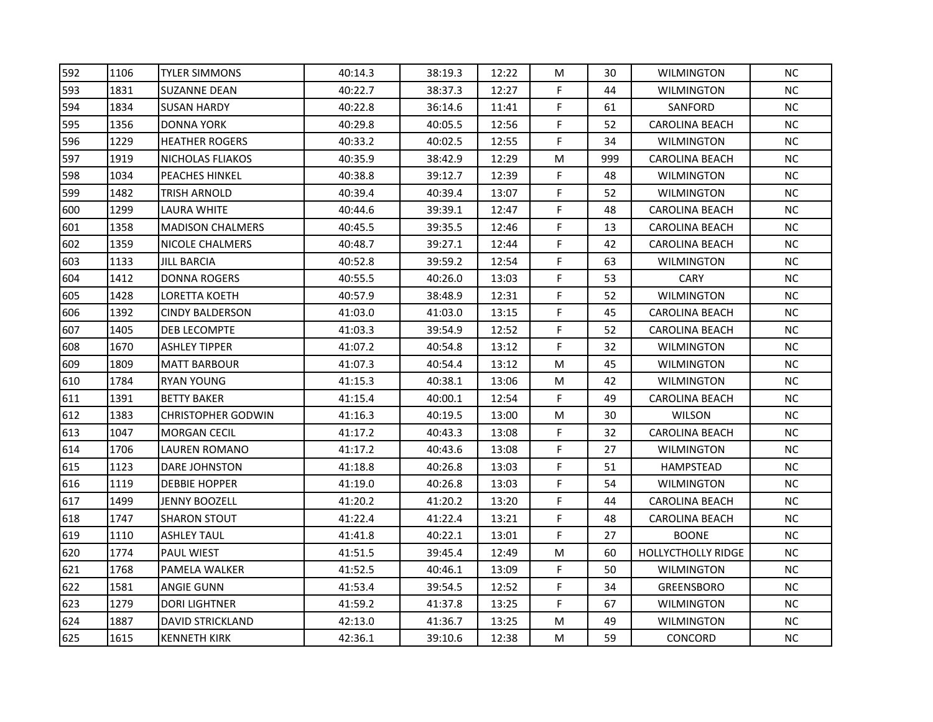| 592 | 1106 | <b>TYLER SIMMONS</b>      | 40:14.3 | 38:19.3 | 12:22 | M         | 30  | <b>WILMINGTON</b>         | <b>NC</b> |
|-----|------|---------------------------|---------|---------|-------|-----------|-----|---------------------------|-----------|
| 593 | 1831 | <b>SUZANNE DEAN</b>       | 40:22.7 | 38:37.3 | 12:27 | F         | 44  | <b>WILMINGTON</b>         | <b>NC</b> |
| 594 | 1834 | <b>SUSAN HARDY</b>        | 40:22.8 | 36:14.6 | 11:41 | F.        | 61  | SANFORD                   | NC.       |
| 595 | 1356 | <b>DONNA YORK</b>         | 40:29.8 | 40:05.5 | 12:56 | F.        | 52  | <b>CAROLINA BEACH</b>     | NC        |
| 596 | 1229 | <b>HEATHER ROGERS</b>     | 40:33.2 | 40:02.5 | 12:55 | F         | 34  | <b>WILMINGTON</b>         | <b>NC</b> |
| 597 | 1919 | NICHOLAS FLIAKOS          | 40:35.9 | 38:42.9 | 12:29 | M         | 999 | CAROLINA BEACH            | NC.       |
| 598 | 1034 | PEACHES HINKEL            | 40:38.8 | 39:12.7 | 12:39 | F         | 48  | <b>WILMINGTON</b>         | <b>NC</b> |
| 599 | 1482 | TRISH ARNOLD              | 40:39.4 | 40:39.4 | 13:07 | F         | 52  | <b>WILMINGTON</b>         | <b>NC</b> |
| 600 | 1299 | LAURA WHITE               | 40:44.6 | 39:39.1 | 12:47 | F         | 48  | <b>CAROLINA BEACH</b>     | <b>NC</b> |
| 601 | 1358 | <b>MADISON CHALMERS</b>   | 40:45.5 | 39:35.5 | 12:46 | F         | 13  | <b>CAROLINA BEACH</b>     | NC        |
| 602 | 1359 | NICOLE CHALMERS           | 40:48.7 | 39:27.1 | 12:44 | F         | 42  | <b>CAROLINA BEACH</b>     | <b>NC</b> |
| 603 | 1133 | <b>JILL BARCIA</b>        | 40:52.8 | 39:59.2 | 12:54 | F         | 63  | <b>WILMINGTON</b>         | <b>NC</b> |
| 604 | 1412 | <b>DONNA ROGERS</b>       | 40:55.5 | 40:26.0 | 13:03 | F         | 53  | CARY                      | NC        |
| 605 | 1428 | LORETTA KOETH             | 40:57.9 | 38:48.9 | 12:31 | F         | 52  | <b>WILMINGTON</b>         | <b>NC</b> |
| 606 | 1392 | <b>CINDY BALDERSON</b>    | 41:03.0 | 41:03.0 | 13:15 | F         | 45  | <b>CAROLINA BEACH</b>     | <b>NC</b> |
| 607 | 1405 | DEB LECOMPTE              | 41:03.3 | 39:54.9 | 12:52 | F         | 52  | CAROLINA BEACH            | <b>NC</b> |
| 608 | 1670 | <b>ASHLEY TIPPER</b>      | 41:07.2 | 40:54.8 | 13:12 | F         | 32  | <b>WILMINGTON</b>         | <b>NC</b> |
| 609 | 1809 | <b>MATT BARBOUR</b>       | 41:07.3 | 40:54.4 | 13:12 | M         | 45  | <b>WILMINGTON</b>         | <b>NC</b> |
| 610 | 1784 | RYAN YOUNG                | 41:15.3 | 40:38.1 | 13:06 | M         | 42  | <b>WILMINGTON</b>         | <b>NC</b> |
| 611 | 1391 | <b>BETTY BAKER</b>        | 41:15.4 | 40:00.1 | 12:54 | F.        | 49  | <b>CAROLINA BEACH</b>     | <b>NC</b> |
| 612 | 1383 | <b>CHRISTOPHER GODWIN</b> | 41:16.3 | 40:19.5 | 13:00 | M         | 30  | <b>WILSON</b>             | <b>NC</b> |
| 613 | 1047 | <b>MORGAN CECIL</b>       | 41:17.2 | 40:43.3 | 13:08 | F         | 32  | <b>CAROLINA BEACH</b>     | NC.       |
| 614 | 1706 | LAUREN ROMANO             | 41:17.2 | 40:43.6 | 13:08 | F.        | 27  | WILMINGTON                | NC.       |
| 615 | 1123 | <b>DARE JOHNSTON</b>      | 41:18.8 | 40:26.8 | 13:03 | F         | 51  | HAMPSTEAD                 | <b>NC</b> |
| 616 | 1119 | <b>DEBBIE HOPPER</b>      | 41:19.0 | 40:26.8 | 13:03 | F         | 54  | <b>WILMINGTON</b>         | <b>NC</b> |
| 617 | 1499 | JENNY BOOZELL             | 41:20.2 | 41:20.2 | 13:20 | F         | 44  | <b>CAROLINA BEACH</b>     | <b>NC</b> |
| 618 | 1747 | <b>SHARON STOUT</b>       | 41:22.4 | 41:22.4 | 13:21 | F         | 48  | <b>CAROLINA BEACH</b>     | <b>NC</b> |
| 619 | 1110 | <b>ASHLEY TAUL</b>        | 41:41.8 | 40:22.1 | 13:01 | F         | 27  | <b>BOONE</b>              | <b>NC</b> |
| 620 | 1774 | PAUL WIEST                | 41:51.5 | 39:45.4 | 12:49 | M         | 60  | <b>HOLLYCTHOLLY RIDGE</b> | <b>NC</b> |
| 621 | 1768 | PAMELA WALKER             | 41:52.5 | 40:46.1 | 13:09 | F.        | 50  | <b>WILMINGTON</b>         | <b>NC</b> |
| 622 | 1581 | ANGIE GUNN                | 41:53.4 | 39:54.5 | 12:52 | F         | 34  | <b>GREENSBORO</b>         | NC        |
| 623 | 1279 | <b>DORI LIGHTNER</b>      | 41:59.2 | 41:37.8 | 13:25 | F         | 67  | WILMINGTON                | NC.       |
| 624 | 1887 | <b>DAVID STRICKLAND</b>   | 42:13.0 | 41:36.7 | 13:25 | M         | 49  | <b>WILMINGTON</b>         | <b>NC</b> |
| 625 | 1615 | <b>KENNETH KIRK</b>       | 42:36.1 | 39:10.6 | 12:38 | ${\sf M}$ | 59  | <b>CONCORD</b>            | <b>NC</b> |
|     |      |                           |         |         |       |           |     |                           |           |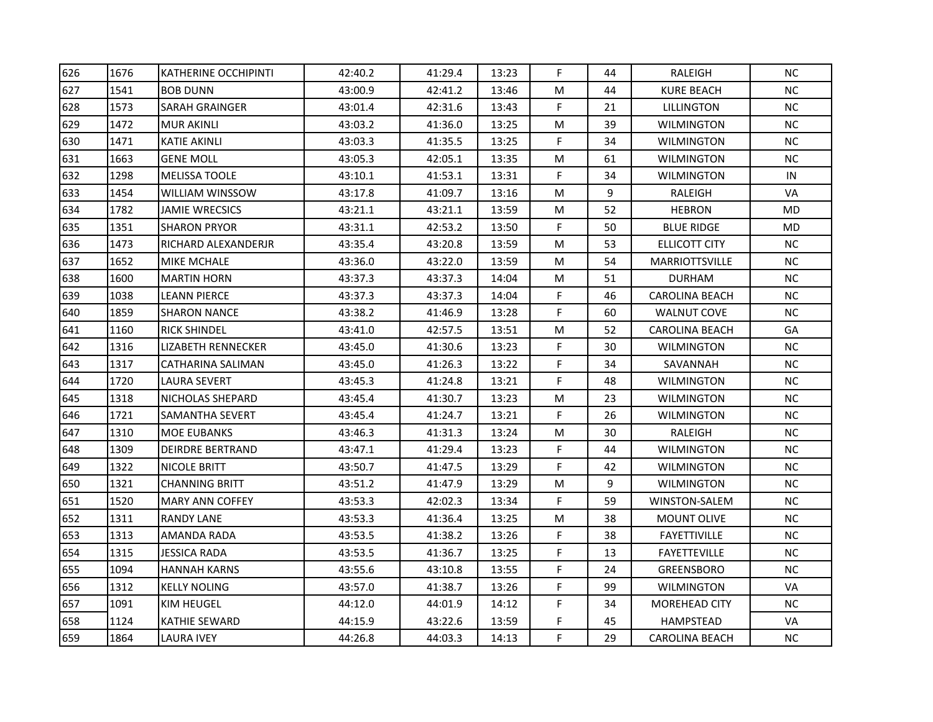| 626 | 1676 | <b>KATHERINE OCCHIPINTI</b> | 42:40.2 | 41:29.4 | 13:23 | F. | 44 | RALEIGH               | <b>NC</b>  |
|-----|------|-----------------------------|---------|---------|-------|----|----|-----------------------|------------|
| 627 | 1541 | <b>BOB DUNN</b>             | 43:00.9 | 42:41.2 | 13:46 | M  | 44 | <b>KURE BEACH</b>     | NC.        |
| 628 | 1573 | SARAH GRAINGER              | 43:01.4 | 42:31.6 | 13:43 | F. | 21 | <b>LILLINGTON</b>     | <b>NC</b>  |
| 629 | 1472 | <b>MUR AKINLI</b>           | 43:03.2 | 41:36.0 | 13:25 | M  | 39 | WILMINGTON            | <b>NC</b>  |
| 630 | 1471 | KATIE AKINLI                | 43:03.3 | 41:35.5 | 13:25 | F. | 34 | WILMINGTON            | NC         |
| 631 | 1663 | GENE MOLL                   | 43:05.3 | 42:05.1 | 13:35 | M  | 61 | <b>WILMINGTON</b>     | <b>NC</b>  |
| 632 | 1298 | <b>MELISSA TOOLE</b>        | 43:10.1 | 41:53.1 | 13:31 | F  | 34 | <b>WILMINGTON</b>     | ${\sf IN}$ |
| 633 | 1454 | WILLIAM WINSSOW             | 43:17.8 | 41:09.7 | 13:16 | M  | 9  | RALEIGH               | VA         |
| 634 | 1782 | <b>JAMIE WRECSICS</b>       | 43:21.1 | 43:21.1 | 13:59 | M  | 52 | <b>HEBRON</b>         | <b>MD</b>  |
| 635 | 1351 | <b>SHARON PRYOR</b>         | 43:31.1 | 42:53.2 | 13:50 | F  | 50 | <b>BLUE RIDGE</b>     | MD         |
| 636 | 1473 | RICHARD ALEXANDERJR         | 43:35.4 | 43:20.8 | 13:59 | M  | 53 | ELLICOTT CITY         | NC.        |
| 637 | 1652 | MIKE MCHALE                 | 43:36.0 | 43:22.0 | 13:59 | M  | 54 | <b>MARRIOTTSVILLE</b> | <b>NC</b>  |
| 638 | 1600 | <b>MARTIN HORN</b>          | 43:37.3 | 43:37.3 | 14:04 | M  | 51 | <b>DURHAM</b>         | <b>NC</b>  |
| 639 | 1038 | LEANN PIERCE                | 43:37.3 | 43:37.3 | 14:04 | F. | 46 | <b>CAROLINA BEACH</b> | NC         |
| 640 | 1859 | <b>SHARON NANCE</b>         | 43:38.2 | 41:46.9 | 13:28 | F  | 60 | <b>WALNUT COVE</b>    | <b>NC</b>  |
| 641 | 1160 | RICK SHINDEL                | 43:41.0 | 42:57.5 | 13:51 | M  | 52 | CAROLINA BEACH        | GA         |
| 642 | 1316 | LIZABETH RENNECKER          | 43:45.0 | 41:30.6 | 13:23 | F. | 30 | WILMINGTON            | <b>NC</b>  |
| 643 | 1317 | CATHARINA SALIMAN           | 43:45.0 | 41:26.3 | 13:22 | F  | 34 | SAVANNAH              | NC         |
| 644 | 1720 | LAURA SEVERT                | 43:45.3 | 41:24.8 | 13:21 | F  | 48 | WILMINGTON            | <b>NC</b>  |
| 645 | 1318 | NICHOLAS SHEPARD            | 43:45.4 | 41:30.7 | 13:23 | M  | 23 | WILMINGTON            | <b>NC</b>  |
| 646 | 1721 | SAMANTHA SEVERT             | 43:45.4 | 41:24.7 | 13:21 | F  | 26 | WILMINGTON            | <b>NC</b>  |
| 647 | 1310 | <b>MOE EUBANKS</b>          | 43:46.3 | 41:31.3 | 13:24 | M  | 30 | RALEIGH               | NC.        |
| 648 | 1309 | <b>DEIRDRE BERTRAND</b>     | 43:47.1 | 41:29.4 | 13:23 | F. | 44 | <b>WILMINGTON</b>     | <b>NC</b>  |
| 649 | 1322 | NICOLE BRITT                | 43:50.7 | 41:47.5 | 13:29 | F. | 42 | <b>WILMINGTON</b>     | <b>NC</b>  |
| 650 | 1321 | <b>CHANNING BRITT</b>       | 43:51.2 | 41:47.9 | 13:29 | M  | 9  | WILMINGTON            | <b>NC</b>  |
| 651 | 1520 | MARY ANN COFFEY             | 43:53.3 | 42:02.3 | 13:34 | F  | 59 | WINSTON-SALEM         | NC         |
| 652 | 1311 | <b>RANDY LANE</b>           | 43:53.3 | 41:36.4 | 13:25 | M  | 38 | <b>MOUNT OLIVE</b>    | <b>NC</b>  |
| 653 | 1313 | AMANDA RADA                 | 43:53.5 | 41:38.2 | 13:26 | F. | 38 | <b>FAYETTIVILLE</b>   | <b>NC</b>  |
| 654 | 1315 | <b>JESSICA RADA</b>         | 43:53.5 | 41:36.7 | 13:25 | F  | 13 | <b>FAYETTEVILLE</b>   | <b>NC</b>  |
| 655 | 1094 | <b>HANNAH KARNS</b>         | 43:55.6 | 43:10.8 | 13:55 | F. | 24 | <b>GREENSBORO</b>     | NC         |
| 656 | 1312 | <b>KELLY NOLING</b>         | 43:57.0 | 41:38.7 | 13:26 | F. | 99 | WILMINGTON            | VA         |
| 657 | 1091 | KIM HEUGEL                  | 44:12.0 | 44:01.9 | 14:12 | F. | 34 | <b>MOREHEAD CITY</b>  | NC.        |
| 658 | 1124 | <b>KATHIE SEWARD</b>        | 44:15.9 | 43:22.6 | 13:59 | F. | 45 | HAMPSTEAD             | VA         |
| 659 | 1864 | <b>LAURA IVEY</b>           | 44:26.8 | 44:03.3 | 14:13 | F  | 29 | <b>CAROLINA BEACH</b> | NC         |
|     |      |                             |         |         |       |    |    |                       |            |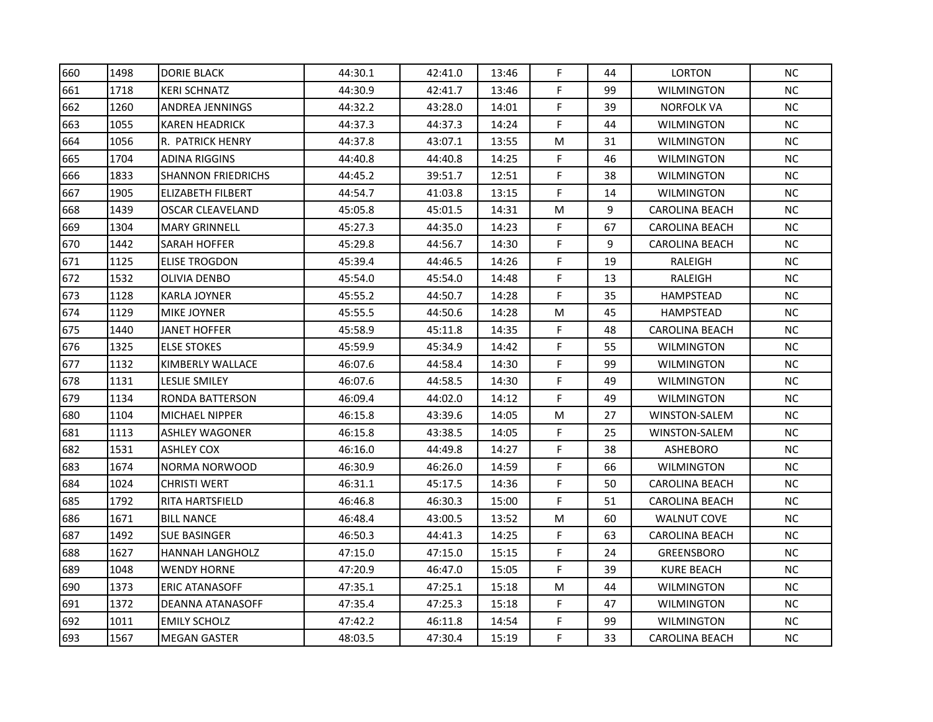| 660 | 1498 | <b>DORIE BLACK</b>        | 44:30.1 | 42:41.0 | 13:46 | F           | 44 | <b>LORTON</b>         | <b>NC</b> |
|-----|------|---------------------------|---------|---------|-------|-------------|----|-----------------------|-----------|
| 661 | 1718 | <b>KERI SCHNATZ</b>       | 44:30.9 | 42:41.7 | 13:46 | F           | 99 | <b>WILMINGTON</b>     | <b>NC</b> |
| 662 | 1260 | ANDREA JENNINGS           | 44:32.2 | 43:28.0 | 14:01 | F.          | 39 | <b>NORFOLK VA</b>     | NC.       |
| 663 | 1055 | <b>KAREN HEADRICK</b>     | 44:37.3 | 44:37.3 | 14:24 | F.          | 44 | <b>WILMINGTON</b>     | NC        |
| 664 | 1056 | R. PATRICK HENRY          | 44:37.8 | 43:07.1 | 13:55 | M           | 31 | WILMINGTON            | <b>NC</b> |
| 665 | 1704 | ADINA RIGGINS             | 44:40.8 | 44:40.8 | 14:25 | F           | 46 | <b>WILMINGTON</b>     | <b>NC</b> |
| 666 | 1833 | <b>SHANNON FRIEDRICHS</b> | 44:45.2 | 39:51.7 | 12:51 | F           | 38 | <b>WILMINGTON</b>     | <b>NC</b> |
| 667 | 1905 | ELIZABETH FILBERT         | 44:54.7 | 41:03.8 | 13:15 | F           | 14 | <b>WILMINGTON</b>     | <b>NC</b> |
| 668 | 1439 | OSCAR CLEAVELAND          | 45:05.8 | 45:01.5 | 14:31 | M           | 9  | <b>CAROLINA BEACH</b> | NC        |
| 669 | 1304 | <b>MARY GRINNELL</b>      | 45:27.3 | 44:35.0 | 14:23 | F           | 67 | <b>CAROLINA BEACH</b> | NC        |
| 670 | 1442 | SARAH HOFFER              | 45:29.8 | 44:56.7 | 14:30 | F           | 9  | <b>CAROLINA BEACH</b> | <b>NC</b> |
| 671 | 1125 | <b>ELISE TROGDON</b>      | 45:39.4 | 44:46.5 | 14:26 | F           | 19 | RALEIGH               | NC        |
| 672 | 1532 | OLIVIA DENBO              | 45:54.0 | 45:54.0 | 14:48 | F           | 13 | RALEIGH               | <b>NC</b> |
| 673 | 1128 | KARLA JOYNER              | 45:55.2 | 44:50.7 | 14:28 | F           | 35 | <b>HAMPSTEAD</b>      | <b>NC</b> |
| 674 | 1129 | MIKE JOYNER               | 45:55.5 | 44:50.6 | 14:28 | M           | 45 | HAMPSTEAD             | <b>NC</b> |
| 675 | 1440 | JANET HOFFER              | 45:58.9 | 45:11.8 | 14:35 | F           | 48 | <b>CAROLINA BEACH</b> | <b>NC</b> |
| 676 | 1325 | <b>ELSE STOKES</b>        | 45:59.9 | 45:34.9 | 14:42 | F           | 55 | <b>WILMINGTON</b>     | <b>NC</b> |
| 677 | 1132 | KIMBERLY WALLACE          | 46:07.6 | 44:58.4 | 14:30 | $\mathsf F$ | 99 | <b>WILMINGTON</b>     | <b>NC</b> |
| 678 | 1131 | <b>LESLIE SMILEY</b>      | 46:07.6 | 44:58.5 | 14:30 | F           | 49 | <b>WILMINGTON</b>     | NC        |
| 679 | 1134 | RONDA BATTERSON           | 46:09.4 | 44:02.0 | 14:12 | F           | 49 | <b>WILMINGTON</b>     | NC        |
| 680 | 1104 | <b>MICHAEL NIPPER</b>     | 46:15.8 | 43:39.6 | 14:05 | M           | 27 | WINSTON-SALEM         | <b>NC</b> |
| 681 | 1113 | <b>ASHLEY WAGONER</b>     | 46:15.8 | 43:38.5 | 14:05 | F           | 25 | WINSTON-SALEM         | <b>NC</b> |
| 682 | 1531 | ASHLEY COX                | 46:16.0 | 44:49.8 | 14:27 | F           | 38 | <b>ASHEBORO</b>       | <b>NC</b> |
| 683 | 1674 | NORMA NORWOOD             | 46:30.9 | 46:26.0 | 14:59 | F           | 66 | <b>WILMINGTON</b>     | <b>NC</b> |
| 684 | 1024 | <b>CHRISTI WERT</b>       | 46:31.1 | 45:17.5 | 14:36 | F.          | 50 | <b>CAROLINA BEACH</b> | NC        |
| 685 | 1792 | RITA HARTSFIELD           | 46:46.8 | 46:30.3 | 15:00 | F           | 51 | <b>CAROLINA BEACH</b> | <b>NC</b> |
| 686 | 1671 | <b>BILL NANCE</b>         | 46:48.4 | 43:00.5 | 13:52 | M           | 60 | <b>WALNUT COVE</b>    | NC.       |
| 687 | 1492 | <b>SUE BASINGER</b>       | 46:50.3 | 44:41.3 | 14:25 | F           | 63 | <b>CAROLINA BEACH</b> | NC.       |
| 688 | 1627 | <b>HANNAH LANGHOLZ</b>    | 47:15.0 | 47:15.0 | 15:15 | F           | 24 | <b>GREENSBORO</b>     | <b>NC</b> |
| 689 | 1048 | <b>WENDY HORNE</b>        | 47:20.9 | 46:47.0 | 15:05 | F           | 39 | <b>KURE BEACH</b>     | NC        |
| 690 | 1373 | <b>ERIC ATANASOFF</b>     | 47:35.1 | 47:25.1 | 15:18 | ${\sf M}$   | 44 | <b>WILMINGTON</b>     | NC        |
| 691 | 1372 | DEANNA ATANASOFF          | 47:35.4 | 47:25.3 | 15:18 | F           | 47 | <b>WILMINGTON</b>     | <b>NC</b> |
| 692 | 1011 | <b>EMILY SCHOLZ</b>       | 47:42.2 | 46:11.8 | 14:54 | F           | 99 | <b>WILMINGTON</b>     | NC.       |
| 693 | 1567 | <b>MEGAN GASTER</b>       | 48:03.5 | 47:30.4 | 15:19 | F           | 33 | <b>CAROLINA BEACH</b> | NC        |
|     |      |                           |         |         |       |             |    |                       |           |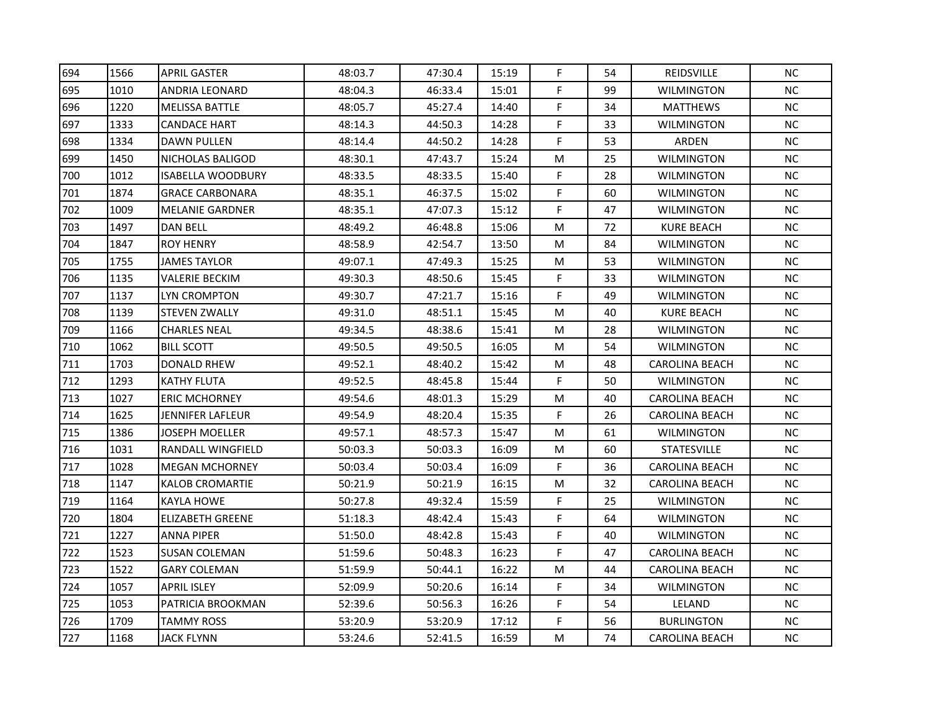| 694 | 1566 | <b>APRIL GASTER</b>      | 48:03.7 | 47:30.4 | 15:19 | F                                                                                                          | 54 | <b>REIDSVILLE</b>     | <b>NC</b> |
|-----|------|--------------------------|---------|---------|-------|------------------------------------------------------------------------------------------------------------|----|-----------------------|-----------|
| 695 | 1010 | ANDRIA LEONARD           | 48:04.3 | 46:33.4 | 15:01 | F                                                                                                          | 99 | <b>WILMINGTON</b>     | NC.       |
| 696 | 1220 | <b>MELISSA BATTLE</b>    | 48:05.7 | 45:27.4 | 14:40 | F                                                                                                          | 34 | <b>MATTHEWS</b>       | <b>NC</b> |
| 697 | 1333 | <b>CANDACE HART</b>      | 48:14.3 | 44:50.3 | 14:28 | F                                                                                                          | 33 | <b>WILMINGTON</b>     | NC        |
| 698 | 1334 | DAWN PULLEN              | 48:14.4 | 44:50.2 | 14:28 | F                                                                                                          | 53 | ARDEN                 | <b>NC</b> |
| 699 | 1450 | NICHOLAS BALIGOD         | 48:30.1 | 47:43.7 | 15:24 | M                                                                                                          | 25 | <b>WILMINGTON</b>     | <b>NC</b> |
| 700 | 1012 | <b>ISABELLA WOODBURY</b> | 48:33.5 | 48:33.5 | 15:40 | F                                                                                                          | 28 | <b>WILMINGTON</b>     | <b>NC</b> |
| 701 | 1874 | <b>GRACE CARBONARA</b>   | 48:35.1 | 46:37.5 | 15:02 | F                                                                                                          | 60 | <b>WILMINGTON</b>     | <b>NC</b> |
| 702 | 1009 | <b>MELANIE GARDNER</b>   | 48:35.1 | 47:07.3 | 15:12 | F                                                                                                          | 47 | <b>WILMINGTON</b>     | NC        |
| 703 | 1497 | <b>DAN BELL</b>          | 48:49.2 | 46:48.8 | 15:06 | M                                                                                                          | 72 | <b>KURE BEACH</b>     | NC        |
| 704 | 1847 | <b>ROY HENRY</b>         | 48:58.9 | 42:54.7 | 13:50 | M                                                                                                          | 84 | <b>WILMINGTON</b>     | <b>NC</b> |
| 705 | 1755 | <b>JAMES TAYLOR</b>      | 49:07.1 | 47:49.3 | 15:25 | M                                                                                                          | 53 | <b>WILMINGTON</b>     | <b>NC</b> |
| 706 | 1135 | <b>VALERIE BECKIM</b>    | 49:30.3 | 48:50.6 | 15:45 | $\mathsf F$                                                                                                | 33 | <b>WILMINGTON</b>     | NC        |
| 707 | 1137 | LYN CROMPTON             | 49:30.7 | 47:21.7 | 15:16 | F                                                                                                          | 49 | <b>WILMINGTON</b>     | <b>NC</b> |
| 708 | 1139 | <b>STEVEN ZWALLY</b>     | 49:31.0 | 48:51.1 | 15:45 | M                                                                                                          | 40 | KURE BEACH            | <b>NC</b> |
| 709 | 1166 | <b>CHARLES NEAL</b>      | 49:34.5 | 48:38.6 | 15:41 | M                                                                                                          | 28 | <b>WILMINGTON</b>     | <b>NC</b> |
| 710 | 1062 | <b>BILL SCOTT</b>        | 49:50.5 | 49:50.5 | 16:05 | M                                                                                                          | 54 | <b>WILMINGTON</b>     | <b>NC</b> |
| 711 | 1703 | <b>DONALD RHEW</b>       | 49:52.1 | 48:40.2 | 15:42 | M                                                                                                          | 48 | <b>CAROLINA BEACH</b> | $\sf NC$  |
| 712 | 1293 | <b>KATHY FLUTA</b>       | 49:52.5 | 48:45.8 | 15:44 | F                                                                                                          | 50 | <b>WILMINGTON</b>     | <b>NC</b> |
| 713 | 1027 | <b>ERIC MCHORNEY</b>     | 49:54.6 | 48:01.3 | 15:29 | M                                                                                                          | 40 | <b>CAROLINA BEACH</b> | NC        |
| 714 | 1625 | JENNIFER LAFLEUR         | 49:54.9 | 48:20.4 | 15:35 | F                                                                                                          | 26 | CAROLINA BEACH        | <b>NC</b> |
| 715 | 1386 | JOSEPH MOELLER           | 49:57.1 | 48:57.3 | 15:47 | M                                                                                                          | 61 | <b>WILMINGTON</b>     | <b>NC</b> |
| 716 | 1031 | RANDALL WINGFIELD        | 50:03.3 | 50:03.3 | 16:09 | M                                                                                                          | 60 | <b>STATESVILLE</b>    | <b>NC</b> |
| 717 | 1028 | <b>MEGAN MCHORNEY</b>    | 50:03.4 | 50:03.4 | 16:09 | F                                                                                                          | 36 | CAROLINA BEACH        | NC        |
| 718 | 1147 | <b>KALOB CROMARTIE</b>   | 50:21.9 | 50:21.9 | 16:15 | M                                                                                                          | 32 | <b>CAROLINA BEACH</b> | NC        |
| 719 | 1164 | KAYLA HOWE               | 50:27.8 | 49:32.4 | 15:59 | F                                                                                                          | 25 | WILMINGTON            | NC        |
| 720 | 1804 | ELIZABETH GREENE         | 51:18.3 | 48:42.4 | 15:43 | F                                                                                                          | 64 | WILMINGTON            | <b>NC</b> |
| 721 | 1227 | <b>ANNA PIPER</b>        | 51:50.0 | 48:42.8 | 15:43 | F                                                                                                          | 40 | <b>WILMINGTON</b>     | NC        |
| 722 | 1523 | <b>SUSAN COLEMAN</b>     | 51:59.6 | 50:48.3 | 16:23 | F                                                                                                          | 47 | <b>CAROLINA BEACH</b> | <b>NC</b> |
| 723 | 1522 | <b>GARY COLEMAN</b>      | 51:59.9 | 50:44.1 | 16:22 | M                                                                                                          | 44 | <b>CAROLINA BEACH</b> | <b>NC</b> |
| 724 | 1057 | <b>APRIL ISLEY</b>       | 52:09.9 | 50:20.6 | 16:14 | F                                                                                                          | 34 | <b>WILMINGTON</b>     | NC        |
| 725 | 1053 | PATRICIA BROOKMAN        | 52:39.6 | 50:56.3 | 16:26 | F                                                                                                          | 54 | LELAND                | <b>NC</b> |
| 726 | 1709 | TAMMY ROSS               | 53:20.9 | 53:20.9 | 17:12 | F                                                                                                          | 56 | <b>BURLINGTON</b>     | NC        |
| 727 | 1168 | <b>JACK FLYNN</b>        | 53:24.6 | 52:41.5 | 16:59 | $\mathsf{M}% _{T}=\mathsf{M}_{T}\!\left( a,b\right) ,\ \mathsf{M}_{T}=\mathsf{M}_{T}\!\left( a,b\right) ,$ | 74 | <b>CAROLINA BEACH</b> | <b>NC</b> |
|     |      |                          |         |         |       |                                                                                                            |    |                       |           |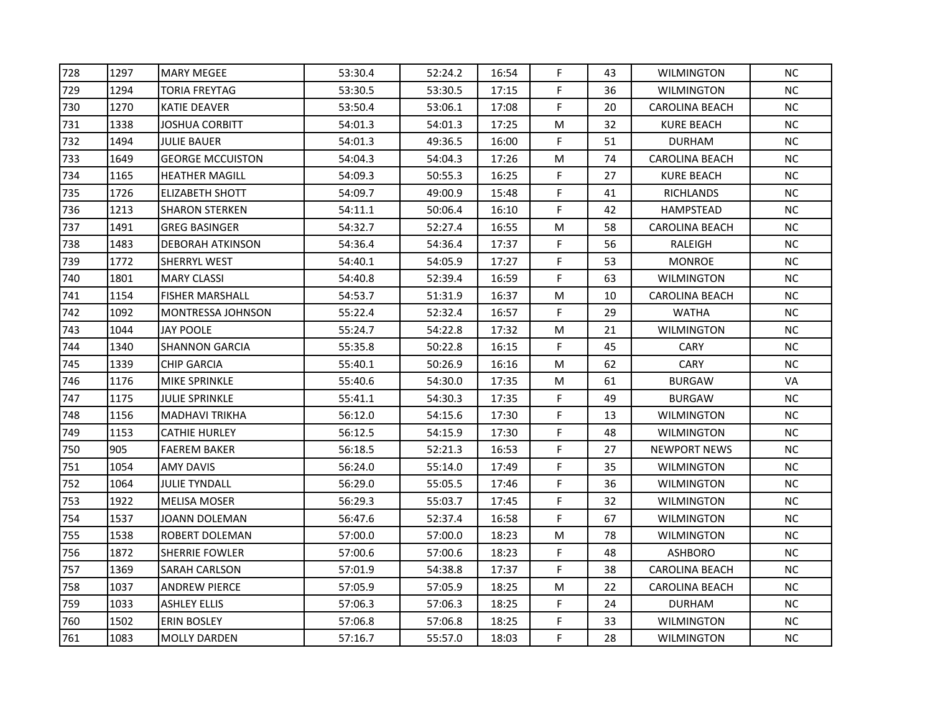| 1297 | <b>MARY MEGEE</b>       | 53:30.4 | 52:24.2 | 16:54 | F           | 43 | <b>WILMINGTON</b>     | <b>NC</b> |
|------|-------------------------|---------|---------|-------|-------------|----|-----------------------|-----------|
| 1294 | <b>TORIA FREYTAG</b>    | 53:30.5 | 53:30.5 | 17:15 | F           | 36 | <b>WILMINGTON</b>     | <b>NC</b> |
| 1270 | KATIE DEAVER            | 53:50.4 | 53:06.1 | 17:08 | F           | 20 | CAROLINA BEACH        | NC.       |
| 1338 | JOSHUA CORBITT          | 54:01.3 | 54:01.3 | 17:25 | M           | 32 | <b>KURE BEACH</b>     | NC        |
| 1494 | JULIE BAUER             | 54:01.3 | 49:36.5 | 16:00 | F           | 51 | <b>DURHAM</b>         | <b>NC</b> |
| 1649 | <b>GEORGE MCCUISTON</b> | 54:04.3 | 54:04.3 | 17:26 | M           | 74 | <b>CAROLINA BEACH</b> | <b>NC</b> |
| 1165 | <b>HEATHER MAGILL</b>   | 54:09.3 | 50:55.3 | 16:25 | F           | 27 | <b>KURE BEACH</b>     | <b>NC</b> |
| 1726 | <b>ELIZABETH SHOTT</b>  | 54:09.7 | 49:00.9 | 15:48 | F           | 41 | RICHLANDS             | <b>NC</b> |
| 1213 | <b>SHARON STERKEN</b>   | 54:11.1 | 50:06.4 | 16:10 | F           | 42 | <b>HAMPSTEAD</b>      | NC        |
| 1491 | <b>GREG BASINGER</b>    | 54:32.7 | 52:27.4 | 16:55 | M           | 58 | <b>CAROLINA BEACH</b> | NC        |
| 1483 | <b>DEBORAH ATKINSON</b> | 54:36.4 | 54:36.4 | 17:37 | F           | 56 | RALEIGH               | <b>NC</b> |
| 1772 | SHERRYL WEST            | 54:40.1 | 54:05.9 | 17:27 | F           | 53 | <b>MONROE</b>         | NC        |
| 1801 | <b>MARY CLASSI</b>      | 54:40.8 | 52:39.4 | 16:59 | F           | 63 | <b>WILMINGTON</b>     | <b>NC</b> |
| 1154 | <b>FISHER MARSHALL</b>  | 54:53.7 | 51:31.9 | 16:37 | M           | 10 | <b>CAROLINA BEACH</b> | <b>NC</b> |
| 1092 | MONTRESSA JOHNSON       | 55:22.4 | 52:32.4 | 16:57 | F           | 29 | <b>WATHA</b>          | <b>NC</b> |
| 1044 | JAY POOLE               | 55:24.7 | 54:22.8 | 17:32 | M           | 21 | <b>WILMINGTON</b>     | <b>NC</b> |
| 1340 | <b>SHANNON GARCIA</b>   | 55:35.8 | 50:22.8 | 16:15 | F           | 45 | CARY                  | <b>NC</b> |
| 1339 | <b>CHIP GARCIA</b>      | 55:40.1 | 50:26.9 | 16:16 | M           | 62 | <b>CARY</b>           | <b>NC</b> |
| 1176 | MIKE SPRINKLE           | 55:40.6 | 54:30.0 | 17:35 | ${\sf M}$   | 61 | <b>BURGAW</b>         | VA        |
| 1175 | JULIE SPRINKLE          | 55:41.1 | 54:30.3 | 17:35 | F           | 49 | <b>BURGAW</b>         | NC        |
| 1156 | <b>MADHAVI TRIKHA</b>   | 56:12.0 | 54:15.6 | 17:30 | F           | 13 | WILMINGTON            | $NC$      |
| 1153 | <b>CATHIE HURLEY</b>    | 56:12.5 | 54:15.9 | 17:30 | F           | 48 | <b>WILMINGTON</b>     | <b>NC</b> |
| 905  | <b>FAEREM BAKER</b>     | 56:18.5 | 52:21.3 | 16:53 | F           | 27 | <b>NEWPORT NEWS</b>   | <b>NC</b> |
| 1054 | <b>AMY DAVIS</b>        | 56:24.0 | 55:14.0 | 17:49 | F           | 35 | <b>WILMINGTON</b>     | <b>NC</b> |
| 1064 | JULIE TYNDALL           | 56:29.0 | 55:05.5 | 17:46 | F           | 36 | <b>WILMINGTON</b>     | NC        |
| 1922 | <b>MELISA MOSER</b>     | 56:29.3 | 55:03.7 | 17:45 | $\mathsf F$ | 32 | <b>WILMINGTON</b>     | NC        |
| 1537 | JOANN DOLEMAN           | 56:47.6 | 52:37.4 | 16:58 | F           | 67 | WILMINGTON            | NC.       |
| 1538 | ROBERT DOLEMAN          | 57:00.0 | 57:00.0 | 18:23 | M           | 78 | <b>WILMINGTON</b>     | NC        |
| 1872 | <b>SHERRIE FOWLER</b>   | 57:00.6 | 57:00.6 | 18:23 | F           | 48 | <b>ASHBORO</b>        | <b>NC</b> |
| 1369 | SARAH CARLSON           | 57:01.9 | 54:38.8 | 17:37 | F           | 38 | <b>CAROLINA BEACH</b> | NC        |
| 1037 | <b>ANDREW PIERCE</b>    | 57:05.9 | 57:05.9 | 18:25 | ${\sf M}$   | 22 | <b>CAROLINA BEACH</b> | NC        |
| 1033 | <b>ASHLEY ELLIS</b>     | 57:06.3 | 57:06.3 | 18:25 | F           | 24 | <b>DURHAM</b>         | <b>NC</b> |
|      |                         |         | 57:06.8 | 18:25 | F           | 33 | <b>WILMINGTON</b>     |           |
| 1502 | <b>ERIN BOSLEY</b>      | 57:06.8 |         |       |             |    |                       | NC        |
|      |                         |         |         |       |             |    |                       |           |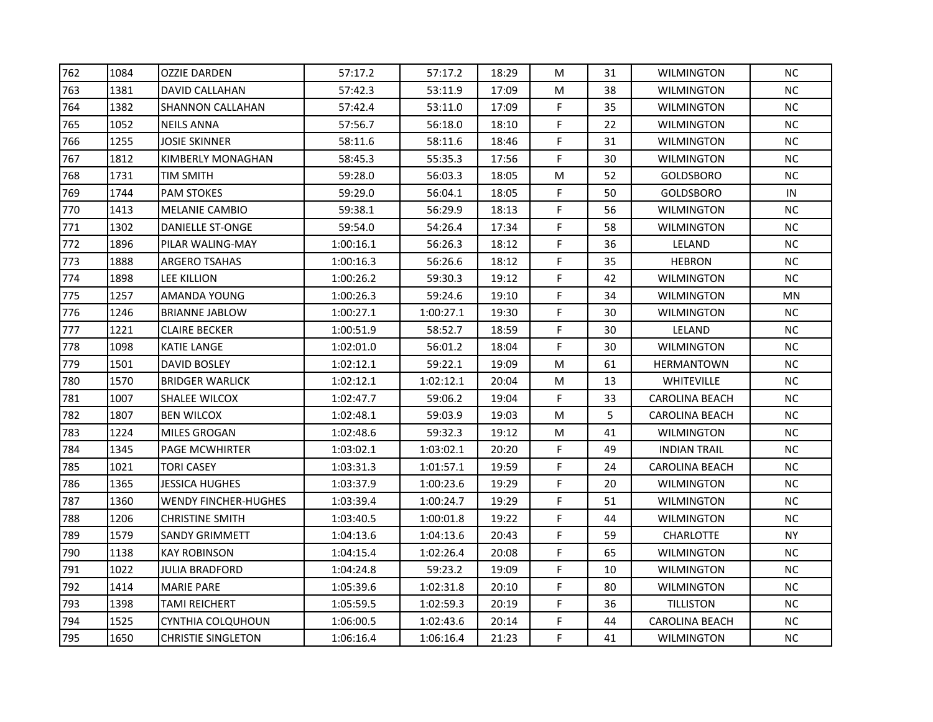| 762 | 1084 | <b>OZZIE DARDEN</b>         | 57:17.2   | 57:17.2   | 18:29 | M         | 31 | <b>WILMINGTON</b>     | <b>NC</b>  |
|-----|------|-----------------------------|-----------|-----------|-------|-----------|----|-----------------------|------------|
| 763 | 1381 | DAVID CALLAHAN              | 57:42.3   | 53:11.9   | 17:09 | M         | 38 | <b>WILMINGTON</b>     | <b>NC</b>  |
| 764 | 1382 | SHANNON CALLAHAN            | 57:42.4   | 53:11.0   | 17:09 | F         | 35 | <b>WILMINGTON</b>     | NC.        |
| 765 | 1052 | <b>NEILS ANNA</b>           | 57:56.7   | 56:18.0   | 18:10 | F         | 22 | <b>WILMINGTON</b>     | NC         |
| 766 | 1255 | JOSIE SKINNER               | 58:11.6   | 58:11.6   | 18:46 | F         | 31 | <b>WILMINGTON</b>     | <b>NC</b>  |
| 767 | 1812 | KIMBERLY MONAGHAN           | 58:45.3   | 55:35.3   | 17:56 | F         | 30 | WILMINGTON            | NC.        |
| 768 | 1731 | <b>TIM SMITH</b>            | 59:28.0   | 56:03.3   | 18:05 | M         | 52 | GOLDSBORO             | <b>NC</b>  |
| 769 | 1744 | <b>PAM STOKES</b>           | 59:29.0   | 56:04.1   | 18:05 | F         | 50 | <b>GOLDSBORO</b>      | ${\sf IN}$ |
| 770 | 1413 | MELANIE CAMBIO              | 59:38.1   | 56:29.9   | 18:13 | F         | 56 | <b>WILMINGTON</b>     | <b>NC</b>  |
| 771 | 1302 | DANIELLE ST-ONGE            | 59:54.0   | 54:26.4   | 17:34 | F         | 58 | <b>WILMINGTON</b>     | NC         |
| 772 | 1896 | PILAR WALING-MAY            | 1:00:16.1 | 56:26.3   | 18:12 | F         | 36 | LELAND                | <b>NC</b>  |
| 773 | 1888 | <b>ARGERO TSAHAS</b>        | 1:00:16.3 | 56:26.6   | 18:12 | F         | 35 | <b>HEBRON</b>         | $NC$       |
| 774 | 1898 | LEE KILLION                 | 1:00:26.2 | 59:30.3   | 19:12 | F         | 42 | <b>WILMINGTON</b>     | NC         |
| 775 | 1257 | AMANDA YOUNG                | 1:00:26.3 | 59:24.6   | 19:10 | F         | 34 | <b>WILMINGTON</b>     | <b>MN</b>  |
| 776 | 1246 | <b>BRIANNE JABLOW</b>       | 1:00:27.1 | 1:00:27.1 | 19:30 | F         | 30 | <b>WILMINGTON</b>     | <b>NC</b>  |
| 777 | 1221 | <b>CLAIRE BECKER</b>        | 1:00:51.9 | 58:52.7   | 18:59 | F         | 30 | LELAND                | $NC$       |
| 778 | 1098 | <b>KATIE LANGE</b>          | 1:02:01.0 | 56:01.2   | 18:04 | F         | 30 | <b>WILMINGTON</b>     | <b>NC</b>  |
| 779 | 1501 | DAVID BOSLEY                | 1:02:12.1 | 59:22.1   | 19:09 | ${\sf M}$ | 61 | <b>HERMANTOWN</b>     | NC         |
| 780 | 1570 | <b>BRIDGER WARLICK</b>      | 1:02:12.1 | 1:02:12.1 | 20:04 | M         | 13 | <b>WHITEVILLE</b>     | <b>NC</b>  |
| 781 | 1007 | SHALEE WILCOX               | 1:02:47.7 | 59:06.2   | 19:04 | F         | 33 | <b>CAROLINA BEACH</b> | <b>NC</b>  |
| 782 | 1807 | <b>BEN WILCOX</b>           | 1:02:48.1 | 59:03.9   | 19:03 | M         | 5  | <b>CAROLINA BEACH</b> | NC         |
| 783 | 1224 | <b>MILES GROGAN</b>         | 1:02:48.6 | 59:32.3   | 19:12 | M         | 41 | <b>WILMINGTON</b>     | <b>NC</b>  |
| 784 | 1345 | <b>PAGE MCWHIRTER</b>       | 1:03:02.1 | 1:03:02.1 | 20:20 | F         | 49 | <b>INDIAN TRAIL</b>   | NC.        |
| 785 | 1021 | <b>TORI CASEY</b>           | 1:03:31.3 | 1:01:57.1 | 19:59 | F         | 24 | <b>CAROLINA BEACH</b> | <b>NC</b>  |
| 786 | 1365 | <b>JESSICA HUGHES</b>       | 1:03:37.9 | 1:00:23.6 | 19:29 | F         | 20 | <b>WILMINGTON</b>     | NC         |
| 787 | 1360 | <b>WENDY FINCHER-HUGHES</b> | 1:03:39.4 | 1:00:24.7 | 19:29 | F         | 51 | <b>WILMINGTON</b>     | <b>NC</b>  |
| 788 | 1206 | <b>CHRISTINE SMITH</b>      | 1:03:40.5 | 1:00:01.8 | 19:22 | F         | 44 | WILMINGTON            | <b>NC</b>  |
| 789 | 1579 | <b>SANDY GRIMMETT</b>       | 1:04:13.6 | 1:04:13.6 | 20:43 | F         | 59 | <b>CHARLOTTE</b>      | <b>NY</b>  |
| 790 | 1138 | <b>KAY ROBINSON</b>         | 1:04:15.4 | 1:02:26.4 | 20:08 | F         | 65 | <b>WILMINGTON</b>     | <b>NC</b>  |
| 791 | 1022 | JULIA BRADFORD              | 1:04:24.8 | 59:23.2   | 19:09 | F         | 10 | <b>WILMINGTON</b>     | <b>NC</b>  |
| 792 | 1414 | <b>MARIE PARE</b>           | 1:05:39.6 | 1:02:31.8 | 20:10 | F         | 80 | <b>WILMINGTON</b>     | NC         |
| 793 | 1398 | TAMI REICHERT               | 1:05:59.5 | 1:02:59.3 | 20:19 | F         | 36 | <b>TILLISTON</b>      | <b>NC</b>  |
| 794 | 1525 | <b>CYNTHIA COLQUHOUN</b>    | 1:06:00.5 | 1:02:43.6 | 20:14 | F         | 44 | <b>CAROLINA BEACH</b> | <b>NC</b>  |
| 795 | 1650 | <b>CHRISTIE SINGLETON</b>   | 1:06:16.4 | 1:06:16.4 | 21:23 | F         | 41 | <b>WILMINGTON</b>     | <b>NC</b>  |
|     |      |                             |           |           |       |           |    |                       |            |